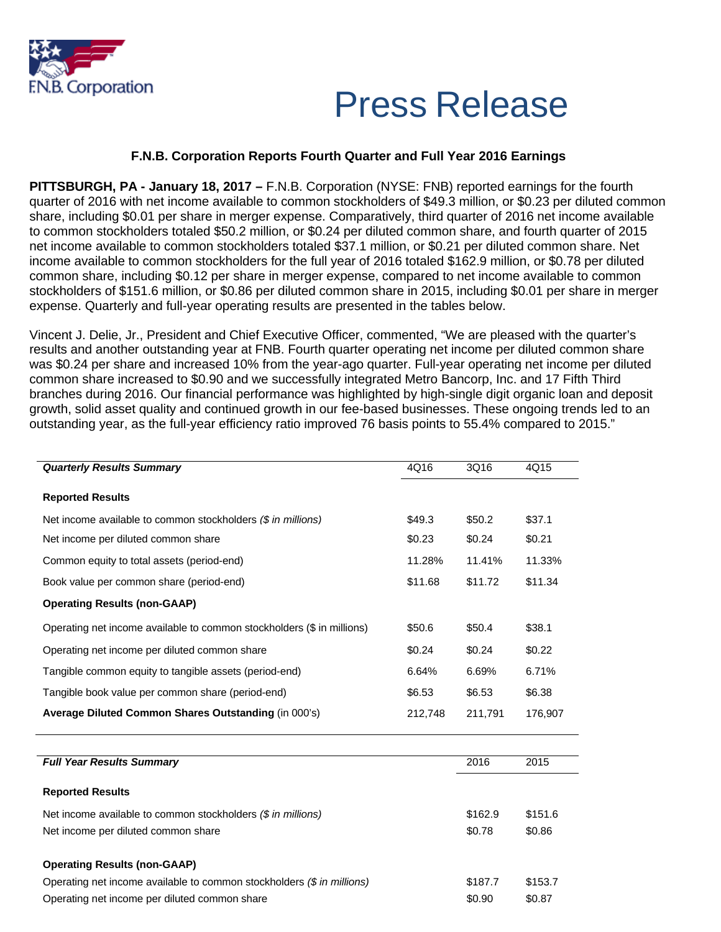

# Press Release

### **F.N.B. Corporation Reports Fourth Quarter and Full Year 2016 Earnings**

**PITTSBURGH, PA - January 18, 2017 –** F.N.B. Corporation (NYSE: FNB) reported earnings for the fourth quarter of 2016 with net income available to common stockholders of \$49.3 million, or \$0.23 per diluted common share, including \$0.01 per share in merger expense. Comparatively, third quarter of 2016 net income available to common stockholders totaled \$50.2 million, or \$0.24 per diluted common share, and fourth quarter of 2015 net income available to common stockholders totaled \$37.1 million, or \$0.21 per diluted common share. Net income available to common stockholders for the full year of 2016 totaled \$162.9 million, or \$0.78 per diluted common share, including \$0.12 per share in merger expense, compared to net income available to common stockholders of \$151.6 million, or \$0.86 per diluted common share in 2015, including \$0.01 per share in merger expense. Quarterly and full-year operating results are presented in the tables below.

Vincent J. Delie, Jr., President and Chief Executive Officer, commented, "We are pleased with the quarter's results and another outstanding year at FNB. Fourth quarter operating net income per diluted common share was \$0.24 per share and increased 10% from the year-ago quarter. Full-year operating net income per diluted common share increased to \$0.90 and we successfully integrated Metro Bancorp, Inc. and 17 Fifth Third branches during 2016. Our financial performance was highlighted by high-single digit organic loan and deposit growth, solid asset quality and continued growth in our fee-based businesses. These ongoing trends led to an outstanding year, as the full-year efficiency ratio improved 76 basis points to 55.4% compared to 2015."

| <b>Quarterly Results Summary</b>                                       | 4Q16    | 3Q16    | 4Q15    |
|------------------------------------------------------------------------|---------|---------|---------|
| <b>Reported Results</b>                                                |         |         |         |
| Net income available to common stockholders (\$ in millions)           | \$49.3  | \$50.2  | \$37.1  |
| Net income per diluted common share                                    | \$0.23  | \$0.24  | \$0.21  |
| Common equity to total assets (period-end)                             | 11.28%  | 11.41%  | 11.33%  |
| Book value per common share (period-end)                               | \$11.68 | \$11.72 | \$11.34 |
| <b>Operating Results (non-GAAP)</b>                                    |         |         |         |
| Operating net income available to common stockholders (\$ in millions) | \$50.6  | \$50.4  | \$38.1  |
| Operating net income per diluted common share                          | \$0.24  | \$0.24  | \$0.22  |
| Tangible common equity to tangible assets (period-end)                 | 6.64%   | 6.69%   | 6.71%   |
| Tangible book value per common share (period-end)                      | \$6.53  | \$6.53  | \$6.38  |
| Average Diluted Common Shares Outstanding (in 000's)                   | 212,748 | 211,791 | 176,907 |
|                                                                        |         |         |         |

| <b>Full Year Results Summary</b>                                       | 2016    | 2015    |
|------------------------------------------------------------------------|---------|---------|
| <b>Reported Results</b>                                                |         |         |
| Net income available to common stockholders (\$ in millions)           | \$162.9 | \$151.6 |
| Net income per diluted common share                                    | \$0.78  | \$0.86  |
| <b>Operating Results (non-GAAP)</b>                                    |         |         |
| Operating net income available to common stockholders (\$ in millions) | \$187.7 | \$153.7 |
| Operating net income per diluted common share                          | \$0.90  | \$0.87  |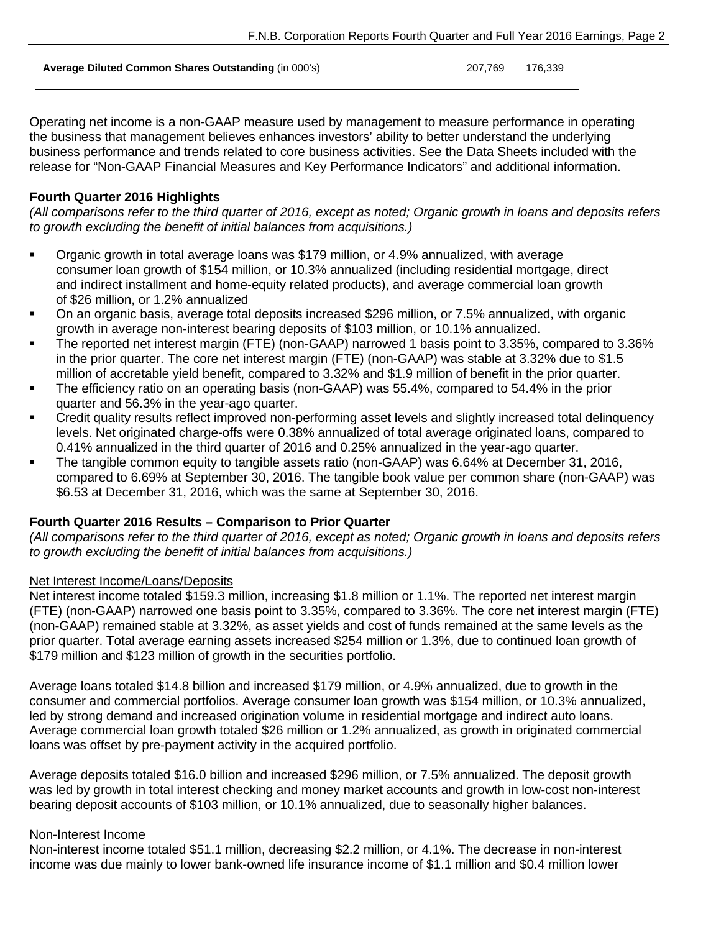**Average Diluted Common Shares Outstanding** (in 000's) 207,769 176,339

Operating net income is a non-GAAP measure used by management to measure performance in operating the business that management believes enhances investors' ability to better understand the underlying business performance and trends related to core business activities. See the Data Sheets included with the release for "Non-GAAP Financial Measures and Key Performance Indicators" and additional information.

### **Fourth Quarter 2016 Highlights**

*(All comparisons refer to the third quarter of 2016, except as noted; Organic growth in loans and deposits refers to growth excluding the benefit of initial balances from acquisitions.)* 

- Organic growth in total average loans was \$179 million, or 4.9% annualized, with average consumer loan growth of \$154 million, or 10.3% annualized (including residential mortgage, direct and indirect installment and home-equity related products), and average commercial loan growth of \$26 million, or 1.2% annualized
- On an organic basis, average total deposits increased \$296 million, or 7.5% annualized, with organic growth in average non-interest bearing deposits of \$103 million, or 10.1% annualized.
- The reported net interest margin (FTE) (non-GAAP) narrowed 1 basis point to 3.35%, compared to 3.36% in the prior quarter. The core net interest margin (FTE) (non-GAAP) was stable at 3.32% due to \$1.5 million of accretable yield benefit, compared to 3.32% and \$1.9 million of benefit in the prior quarter.
- The efficiency ratio on an operating basis (non-GAAP) was 55.4%, compared to 54.4% in the prior quarter and 56.3% in the year-ago quarter.
- Credit quality results reflect improved non-performing asset levels and slightly increased total delinquency levels. Net originated charge-offs were 0.38% annualized of total average originated loans, compared to 0.41% annualized in the third quarter of 2016 and 0.25% annualized in the year-ago quarter.
- The tangible common equity to tangible assets ratio (non-GAAP) was 6.64% at December 31, 2016, compared to 6.69% at September 30, 2016. The tangible book value per common share (non-GAAP) was \$6.53 at December 31, 2016, which was the same at September 30, 2016.

## **Fourth Quarter 2016 Results – Comparison to Prior Quarter**

*(All comparisons refer to the third quarter of 2016, except as noted; Organic growth in loans and deposits refers to growth excluding the benefit of initial balances from acquisitions.)* 

### Net Interest Income/Loans/Deposits

Net interest income totaled \$159.3 million, increasing \$1.8 million or 1.1%. The reported net interest margin (FTE) (non-GAAP) narrowed one basis point to 3.35%, compared to 3.36%. The core net interest margin (FTE) (non-GAAP) remained stable at 3.32%, as asset yields and cost of funds remained at the same levels as the prior quarter. Total average earning assets increased \$254 million or 1.3%, due to continued loan growth of \$179 million and \$123 million of growth in the securities portfolio.

Average loans totaled \$14.8 billion and increased \$179 million, or 4.9% annualized, due to growth in the consumer and commercial portfolios. Average consumer loan growth was \$154 million, or 10.3% annualized, led by strong demand and increased origination volume in residential mortgage and indirect auto loans. Average commercial loan growth totaled \$26 million or 1.2% annualized, as growth in originated commercial loans was offset by pre-payment activity in the acquired portfolio.

Average deposits totaled \$16.0 billion and increased \$296 million, or 7.5% annualized. The deposit growth was led by growth in total interest checking and money market accounts and growth in low-cost non-interest bearing deposit accounts of \$103 million, or 10.1% annualized, due to seasonally higher balances.

### Non-Interest Income

Non-interest income totaled \$51.1 million, decreasing \$2.2 million, or 4.1%. The decrease in non-interest income was due mainly to lower bank-owned life insurance income of \$1.1 million and \$0.4 million lower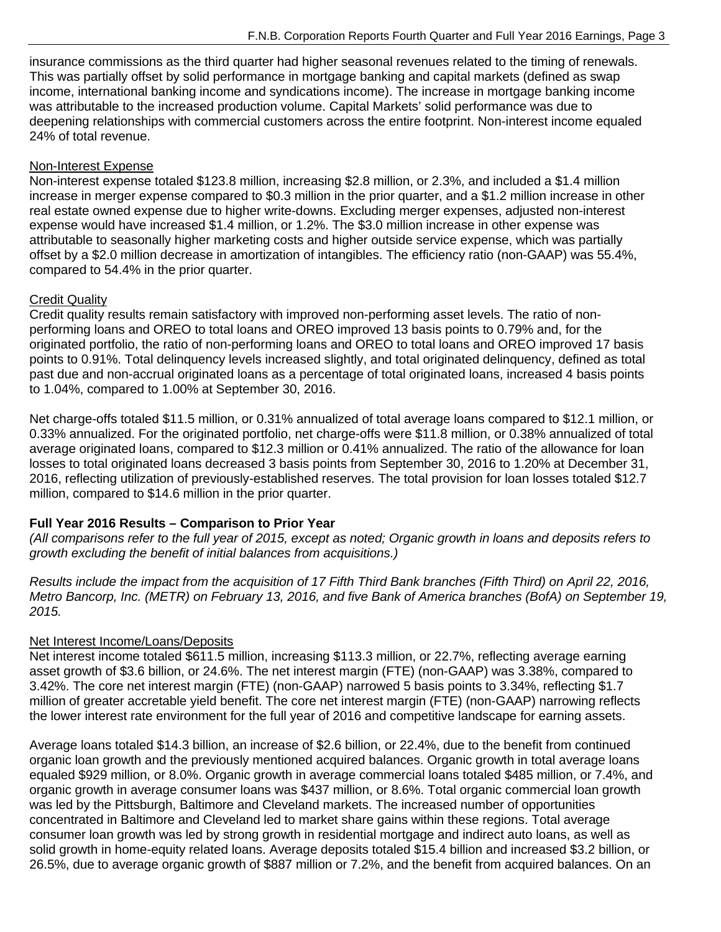insurance commissions as the third quarter had higher seasonal revenues related to the timing of renewals. This was partially offset by solid performance in mortgage banking and capital markets (defined as swap income, international banking income and syndications income). The increase in mortgage banking income was attributable to the increased production volume. Capital Markets' solid performance was due to deepening relationships with commercial customers across the entire footprint. Non-interest income equaled 24% of total revenue.

#### Non-Interest Expense

Non-interest expense totaled \$123.8 million, increasing \$2.8 million, or 2.3%, and included a \$1.4 million increase in merger expense compared to \$0.3 million in the prior quarter, and a \$1.2 million increase in other real estate owned expense due to higher write-downs. Excluding merger expenses, adjusted non-interest expense would have increased \$1.4 million, or 1.2%. The \$3.0 million increase in other expense was attributable to seasonally higher marketing costs and higher outside service expense, which was partially offset by a \$2.0 million decrease in amortization of intangibles. The efficiency ratio (non-GAAP) was 55.4%, compared to 54.4% in the prior quarter.

### Credit Quality

Credit quality results remain satisfactory with improved non-performing asset levels. The ratio of nonperforming loans and OREO to total loans and OREO improved 13 basis points to 0.79% and, for the originated portfolio, the ratio of non-performing loans and OREO to total loans and OREO improved 17 basis points to 0.91%. Total delinquency levels increased slightly, and total originated delinquency, defined as total past due and non-accrual originated loans as a percentage of total originated loans, increased 4 basis points to 1.04%, compared to 1.00% at September 30, 2016.

Net charge-offs totaled \$11.5 million, or 0.31% annualized of total average loans compared to \$12.1 million, or 0.33% annualized. For the originated portfolio, net charge-offs were \$11.8 million, or 0.38% annualized of total average originated loans, compared to \$12.3 million or 0.41% annualized. The ratio of the allowance for loan losses to total originated loans decreased 3 basis points from September 30, 2016 to 1.20% at December 31, 2016, reflecting utilization of previously-established reserves. The total provision for loan losses totaled \$12.7 million, compared to \$14.6 million in the prior quarter.

### **Full Year 2016 Results – Comparison to Prior Year**

*(All comparisons refer to the full year of 2015, except as noted; Organic growth in loans and deposits refers to growth excluding the benefit of initial balances from acquisitions.)* 

*Results include the impact from the acquisition of 17 Fifth Third Bank branches (Fifth Third) on April 22, 2016, Metro Bancorp, Inc. (METR) on February 13, 2016, and five Bank of America branches (BofA) on September 19, 2015.* 

### Net Interest Income/Loans/Deposits

Net interest income totaled \$611.5 million, increasing \$113.3 million, or 22.7%, reflecting average earning asset growth of \$3.6 billion, or 24.6%. The net interest margin (FTE) (non-GAAP) was 3.38%, compared to 3.42%. The core net interest margin (FTE) (non-GAAP) narrowed 5 basis points to 3.34%, reflecting \$1.7 million of greater accretable yield benefit. The core net interest margin (FTE) (non-GAAP) narrowing reflects the lower interest rate environment for the full year of 2016 and competitive landscape for earning assets.

Average loans totaled \$14.3 billion, an increase of \$2.6 billion, or 22.4%, due to the benefit from continued organic loan growth and the previously mentioned acquired balances. Organic growth in total average loans equaled \$929 million, or 8.0%. Organic growth in average commercial loans totaled \$485 million, or 7.4%, and organic growth in average consumer loans was \$437 million, or 8.6%. Total organic commercial loan growth was led by the Pittsburgh, Baltimore and Cleveland markets. The increased number of opportunities concentrated in Baltimore and Cleveland led to market share gains within these regions. Total average consumer loan growth was led by strong growth in residential mortgage and indirect auto loans, as well as solid growth in home-equity related loans. Average deposits totaled \$15.4 billion and increased \$3.2 billion, or 26.5%, due to average organic growth of \$887 million or 7.2%, and the benefit from acquired balances. On an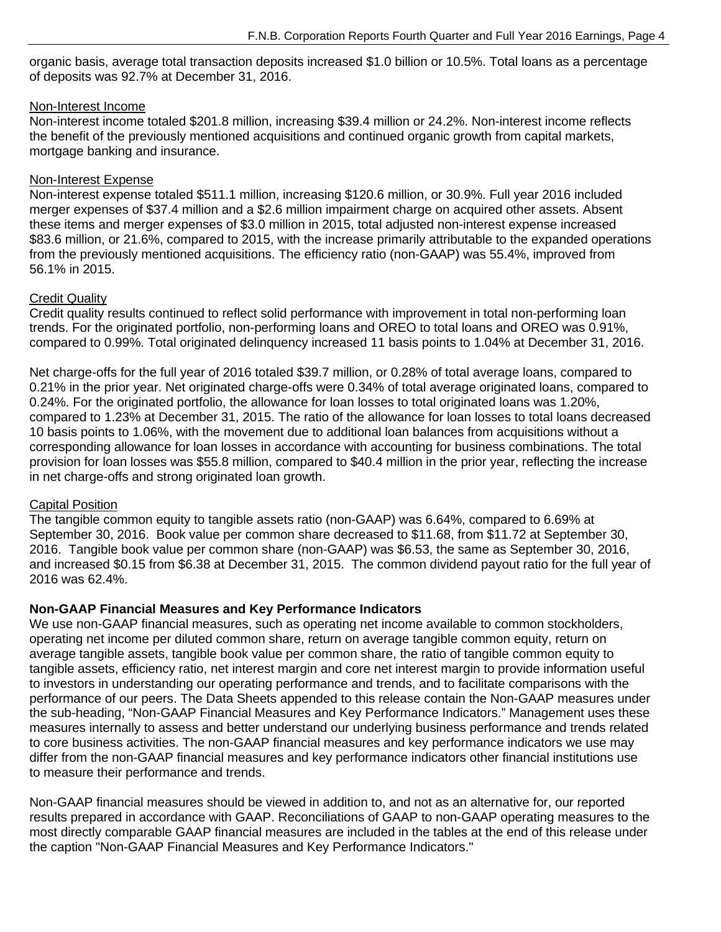organic basis, average total transaction deposits increased \$1.0 billion or 10.5%. Total loans as a percentage of deposits was 92.7% at December 31, 2016.

#### Non-Interest Income

Non-interest income totaled \$201.8 million, increasing \$39.4 million or 24.2%. Non-interest income reflects the benefit of the previously mentioned acquisitions and continued organic growth from capital markets, mortgage banking and insurance.

#### Non-Interest Expense

Non-interest expense totaled \$511.1 million, increasing \$120.6 million, or 30.9%. Full year 2016 included merger expenses of \$37.4 million and a \$2.6 million impairment charge on acquired other assets. Absent these items and merger expenses of \$3.0 million in 2015, total adjusted non-interest expense increased \$83.6 million, or 21.6%, compared to 2015, with the increase primarily attributable to the expanded operations from the previously mentioned acquisitions. The efficiency ratio (non-GAAP) was 55.4%, improved from 56.1% in 2015.

#### Credit Quality

Credit quality results continued to reflect solid performance with improvement in total non-performing loan trends. For the originated portfolio, non-performing loans and OREO to total loans and OREO was 0.91%, compared to 0.99%. Total originated delinquency increased 11 basis points to 1.04% at December 31, 2016.

Net charge-offs for the full year of 2016 totaled \$39.7 million, or 0.28% of total average loans, compared to 0.21% in the prior year. Net originated charge-offs were 0.34% of total average originated loans, compared to 0.24%. For the originated portfolio, the allowance for loan losses to total originated loans was 1.20%, compared to 1.23% at December 31, 2015. The ratio of the allowance for loan losses to total loans decreased 10 basis points to 1.06%, with the movement due to additional loan balances from acquisitions without a corresponding allowance for loan losses in accordance with accounting for business combinations. The total provision for loan losses was \$55.8 million, compared to \$40.4 million in the prior year, reflecting the increase in net charge-offs and strong originated loan growth.

### **Capital Position**

The tangible common equity to tangible assets ratio (non-GAAP) was 6.64%, compared to 6.69% at September 30, 2016. Book value per common share decreased to \$11.68, from \$11.72 at September 30, 2016. Tangible book value per common share (non-GAAP) was \$6.53, the same as September 30, 2016, and increased \$0.15 from \$6.38 at December 31, 2015. The common dividend payout ratio for the full year of 2016 was 62.4%.

### **Non-GAAP Financial Measures and Key Performance Indicators**

We use non-GAAP financial measures, such as operating net income available to common stockholders, operating net income per diluted common share, return on average tangible common equity, return on average tangible assets, tangible book value per common share, the ratio of tangible common equity to tangible assets, efficiency ratio, net interest margin and core net interest margin to provide information useful to investors in understanding our operating performance and trends, and to facilitate comparisons with the performance of our peers. The Data Sheets appended to this release contain the Non-GAAP measures under the sub-heading, "Non-GAAP Financial Measures and Key Performance Indicators." Management uses these measures internally to assess and better understand our underlying business performance and trends related to core business activities. The non-GAAP financial measures and key performance indicators we use may differ from the non-GAAP financial measures and key performance indicators other financial institutions use to measure their performance and trends.

Non-GAAP financial measures should be viewed in addition to, and not as an alternative for, our reported results prepared in accordance with GAAP. Reconciliations of GAAP to non-GAAP operating measures to the most directly comparable GAAP financial measures are included in the tables at the end of this release under the caption "Non-GAAP Financial Measures and Key Performance Indicators."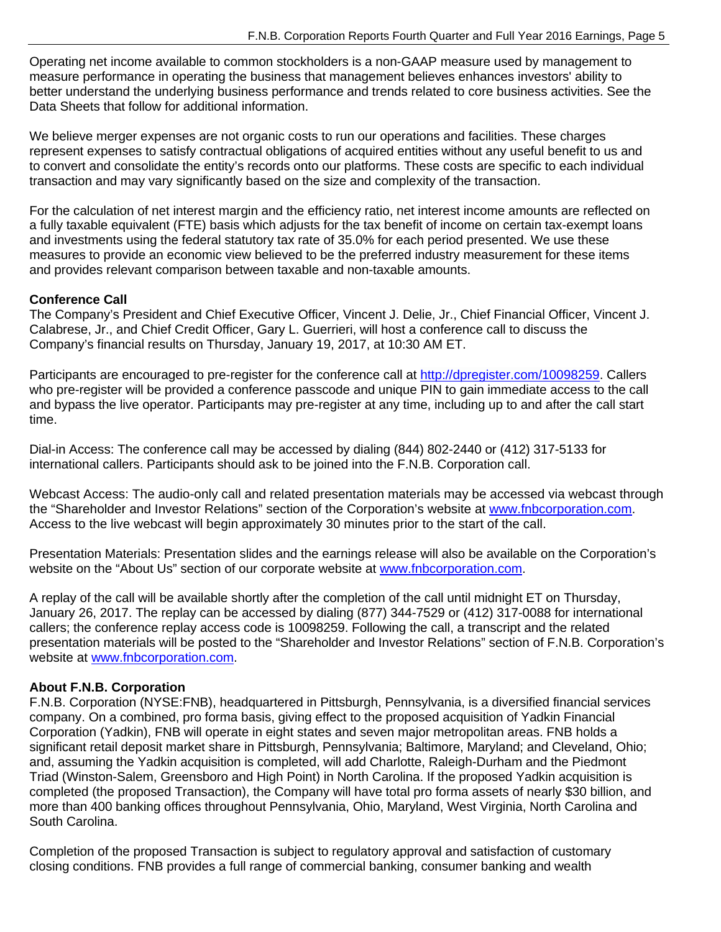Operating net income available to common stockholders is a non-GAAP measure used by management to measure performance in operating the business that management believes enhances investors' ability to better understand the underlying business performance and trends related to core business activities. See the Data Sheets that follow for additional information.

We believe merger expenses are not organic costs to run our operations and facilities. These charges represent expenses to satisfy contractual obligations of acquired entities without any useful benefit to us and to convert and consolidate the entity's records onto our platforms. These costs are specific to each individual transaction and may vary significantly based on the size and complexity of the transaction.

For the calculation of net interest margin and the efficiency ratio, net interest income amounts are reflected on a fully taxable equivalent (FTE) basis which adjusts for the tax benefit of income on certain tax-exempt loans and investments using the federal statutory tax rate of 35.0% for each period presented. We use these measures to provide an economic view believed to be the preferred industry measurement for these items and provides relevant comparison between taxable and non-taxable amounts.

### **Conference Call**

The Company's President and Chief Executive Officer, Vincent J. Delie, Jr., Chief Financial Officer, Vincent J. Calabrese, Jr., and Chief Credit Officer, Gary L. Guerrieri, will host a conference call to discuss the Company's financial results on Thursday, January 19, 2017, at 10:30 AM ET.

Participants are encouraged to pre-register for the conference call at http://dpregister.com/10098259. Callers who pre-register will be provided a conference passcode and unique PIN to gain immediate access to the call and bypass the live operator. Participants may pre-register at any time, including up to and after the call start time.

Dial-in Access: The conference call may be accessed by dialing (844) 802-2440 or (412) 317-5133 for international callers. Participants should ask to be joined into the F.N.B. Corporation call.

Webcast Access: The audio-only call and related presentation materials may be accessed via webcast through the "Shareholder and Investor Relations" section of the Corporation's website at www.fnbcorporation.com. Access to the live webcast will begin approximately 30 minutes prior to the start of the call.

Presentation Materials: Presentation slides and the earnings release will also be available on the Corporation's website on the "About Us" section of our corporate website at www.fnbcorporation.com.

A replay of the call will be available shortly after the completion of the call until midnight ET on Thursday, January 26, 2017. The replay can be accessed by dialing (877) 344-7529 or (412) 317-0088 for international callers; the conference replay access code is 10098259. Following the call, a transcript and the related presentation materials will be posted to the "Shareholder and Investor Relations" section of F.N.B. Corporation's website at www.fnbcorporation.com.

### **About F.N.B. Corporation**

F.N.B. Corporation (NYSE:FNB), headquartered in Pittsburgh, Pennsylvania, is a diversified financial services company. On a combined, pro forma basis, giving effect to the proposed acquisition of Yadkin Financial Corporation (Yadkin), FNB will operate in eight states and seven major metropolitan areas. FNB holds a significant retail deposit market share in Pittsburgh, Pennsylvania; Baltimore, Maryland; and Cleveland, Ohio; and, assuming the Yadkin acquisition is completed, will add Charlotte, Raleigh-Durham and the Piedmont Triad (Winston-Salem, Greensboro and High Point) in North Carolina. If the proposed Yadkin acquisition is completed (the proposed Transaction), the Company will have total pro forma assets of nearly \$30 billion, and more than 400 banking offices throughout Pennsylvania, Ohio, Maryland, West Virginia, North Carolina and South Carolina.

Completion of the proposed Transaction is subject to regulatory approval and satisfaction of customary closing conditions. FNB provides a full range of commercial banking, consumer banking and wealth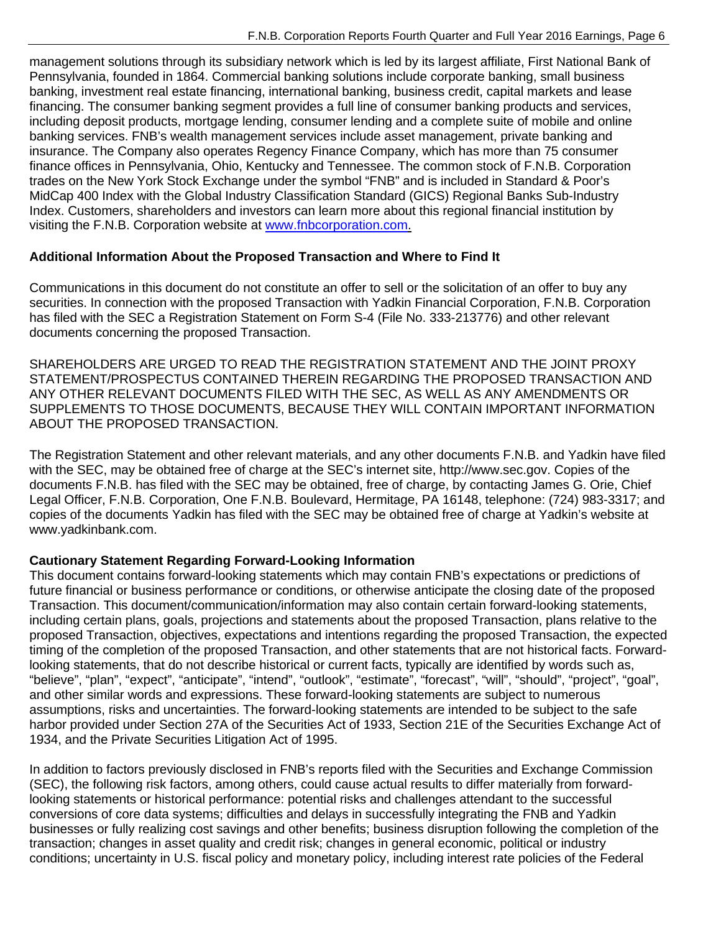management solutions through its subsidiary network which is led by its largest affiliate, First National Bank of Pennsylvania, founded in 1864. Commercial banking solutions include corporate banking, small business banking, investment real estate financing, international banking, business credit, capital markets and lease financing. The consumer banking segment provides a full line of consumer banking products and services, including deposit products, mortgage lending, consumer lending and a complete suite of mobile and online banking services. FNB's wealth management services include asset management, private banking and insurance. The Company also operates Regency Finance Company, which has more than 75 consumer finance offices in Pennsylvania, Ohio, Kentucky and Tennessee. The common stock of F.N.B. Corporation trades on the New York Stock Exchange under the symbol "FNB" and is included in Standard & Poor's MidCap 400 Index with the Global Industry Classification Standard (GICS) Regional Banks Sub-Industry Index. Customers, shareholders and investors can learn more about this regional financial institution by visiting the F.N.B. Corporation website at www.fnbcorporation.com.

### **Additional Information About the Proposed Transaction and Where to Find It**

Communications in this document do not constitute an offer to sell or the solicitation of an offer to buy any securities. In connection with the proposed Transaction with Yadkin Financial Corporation, F.N.B. Corporation has filed with the SEC a Registration Statement on Form S-4 (File No. 333-213776) and other relevant documents concerning the proposed Transaction.

SHAREHOLDERS ARE URGED TO READ THE REGISTRATION STATEMENT AND THE JOINT PROXY STATEMENT/PROSPECTUS CONTAINED THEREIN REGARDING THE PROPOSED TRANSACTION AND ANY OTHER RELEVANT DOCUMENTS FILED WITH THE SEC, AS WELL AS ANY AMENDMENTS OR SUPPLEMENTS TO THOSE DOCUMENTS, BECAUSE THEY WILL CONTAIN IMPORTANT INFORMATION ABOUT THE PROPOSED TRANSACTION.

The Registration Statement and other relevant materials, and any other documents F.N.B. and Yadkin have filed with the SEC, may be obtained free of charge at the SEC's internet site, http://www.sec.gov. Copies of the documents F.N.B. has filed with the SEC may be obtained, free of charge, by contacting James G. Orie, Chief Legal Officer, F.N.B. Corporation, One F.N.B. Boulevard, Hermitage, PA 16148, telephone: (724) 983-3317; and copies of the documents Yadkin has filed with the SEC may be obtained free of charge at Yadkin's website at www.yadkinbank.com.

## **Cautionary Statement Regarding Forward-Looking Information**

This document contains forward-looking statements which may contain FNB's expectations or predictions of future financial or business performance or conditions, or otherwise anticipate the closing date of the proposed Transaction. This document/communication/information may also contain certain forward-looking statements, including certain plans, goals, projections and statements about the proposed Transaction, plans relative to the proposed Transaction, objectives, expectations and intentions regarding the proposed Transaction, the expected timing of the completion of the proposed Transaction, and other statements that are not historical facts. Forwardlooking statements, that do not describe historical or current facts, typically are identified by words such as, "believe", "plan", "expect", "anticipate", "intend", "outlook", "estimate", "forecast", "will", "should", "project", "goal", and other similar words and expressions. These forward-looking statements are subject to numerous assumptions, risks and uncertainties. The forward-looking statements are intended to be subject to the safe harbor provided under Section 27A of the Securities Act of 1933, Section 21E of the Securities Exchange Act of 1934, and the Private Securities Litigation Act of 1995.

In addition to factors previously disclosed in FNB's reports filed with the Securities and Exchange Commission (SEC), the following risk factors, among others, could cause actual results to differ materially from forwardlooking statements or historical performance: potential risks and challenges attendant to the successful conversions of core data systems; difficulties and delays in successfully integrating the FNB and Yadkin businesses or fully realizing cost savings and other benefits; business disruption following the completion of the transaction; changes in asset quality and credit risk; changes in general economic, political or industry conditions; uncertainty in U.S. fiscal policy and monetary policy, including interest rate policies of the Federal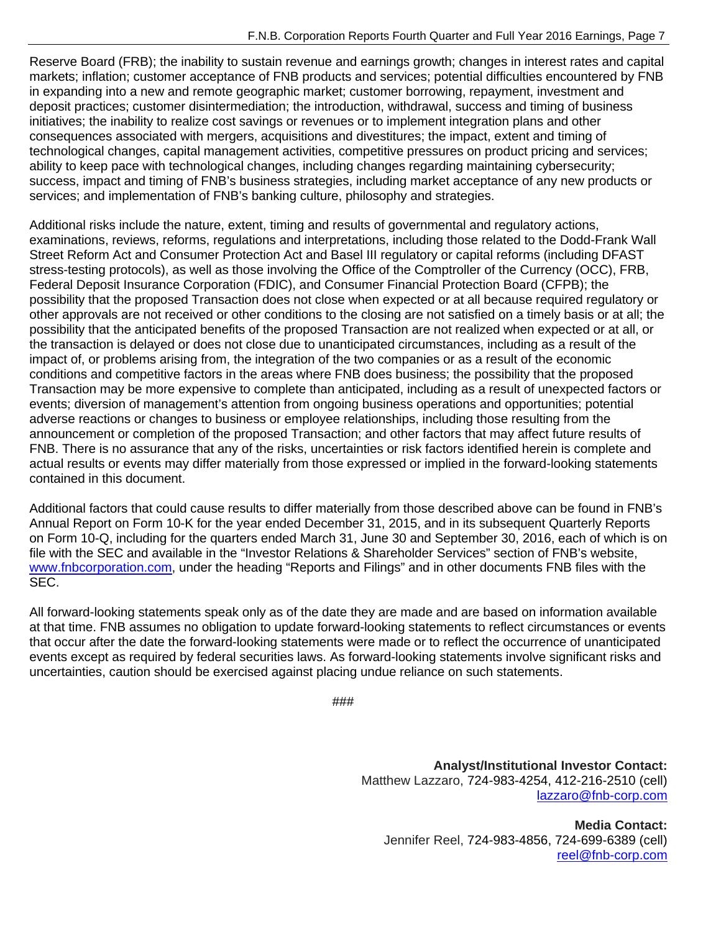Reserve Board (FRB); the inability to sustain revenue and earnings growth; changes in interest rates and capital markets; inflation; customer acceptance of FNB products and services; potential difficulties encountered by FNB in expanding into a new and remote geographic market; customer borrowing, repayment, investment and deposit practices; customer disintermediation; the introduction, withdrawal, success and timing of business initiatives; the inability to realize cost savings or revenues or to implement integration plans and other consequences associated with mergers, acquisitions and divestitures; the impact, extent and timing of technological changes, capital management activities, competitive pressures on product pricing and services; ability to keep pace with technological changes, including changes regarding maintaining cybersecurity; success, impact and timing of FNB's business strategies, including market acceptance of any new products or services; and implementation of FNB's banking culture, philosophy and strategies.

Additional risks include the nature, extent, timing and results of governmental and regulatory actions, examinations, reviews, reforms, regulations and interpretations, including those related to the Dodd-Frank Wall Street Reform Act and Consumer Protection Act and Basel III regulatory or capital reforms (including DFAST stress-testing protocols), as well as those involving the Office of the Comptroller of the Currency (OCC), FRB, Federal Deposit Insurance Corporation (FDIC), and Consumer Financial Protection Board (CFPB); the possibility that the proposed Transaction does not close when expected or at all because required regulatory or other approvals are not received or other conditions to the closing are not satisfied on a timely basis or at all; the possibility that the anticipated benefits of the proposed Transaction are not realized when expected or at all, or the transaction is delayed or does not close due to unanticipated circumstances, including as a result of the impact of, or problems arising from, the integration of the two companies or as a result of the economic conditions and competitive factors in the areas where FNB does business; the possibility that the proposed Transaction may be more expensive to complete than anticipated, including as a result of unexpected factors or events; diversion of management's attention from ongoing business operations and opportunities; potential adverse reactions or changes to business or employee relationships, including those resulting from the announcement or completion of the proposed Transaction; and other factors that may affect future results of FNB. There is no assurance that any of the risks, uncertainties or risk factors identified herein is complete and actual results or events may differ materially from those expressed or implied in the forward-looking statements contained in this document.

Additional factors that could cause results to differ materially from those described above can be found in FNB's Annual Report on Form 10-K for the year ended December 31, 2015, and in its subsequent Quarterly Reports on Form 10-Q, including for the quarters ended March 31, June 30 and September 30, 2016, each of which is on file with the SEC and available in the "Investor Relations & Shareholder Services" section of FNB's website, www.fnbcorporation.com, under the heading "Reports and Filings" and in other documents FNB files with the SEC.

All forward-looking statements speak only as of the date they are made and are based on information available at that time. FNB assumes no obligation to update forward-looking statements to reflect circumstances or events that occur after the date the forward-looking statements were made or to reflect the occurrence of unanticipated events except as required by federal securities laws. As forward-looking statements involve significant risks and uncertainties, caution should be exercised against placing undue reliance on such statements.

```
###
```
**Analyst/Institutional Investor Contact:**  Matthew Lazzaro, 724-983-4254, 412-216-2510 (cell) lazzaro@fnb-corp.com

**Media Contact:**  Jennifer Reel, 724-983-4856, 724-699-6389 (cell) reel@fnb-corp.com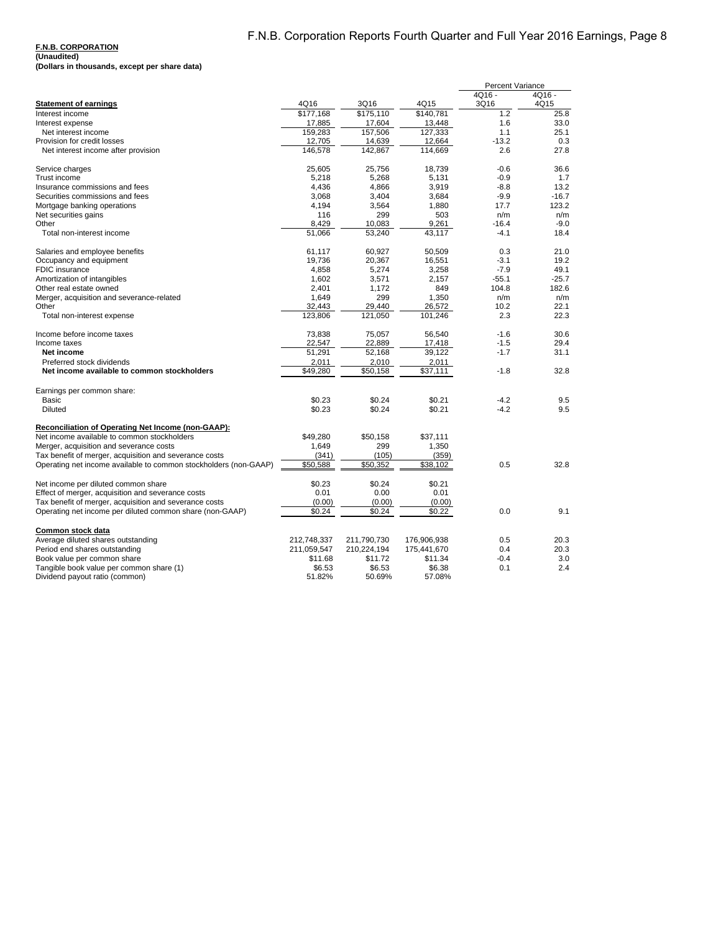|                                                                  |             |             |             | <b>Percent Variance</b> |          |
|------------------------------------------------------------------|-------------|-------------|-------------|-------------------------|----------|
|                                                                  |             |             |             | 4Q16 -                  | $4Q16 -$ |
| <b>Statement of earnings</b>                                     | 4Q16        | 3Q16        | 4Q15        | 3Q16                    | 4Q15     |
| Interest income                                                  | \$177,168   | \$175,110   | \$140.781   | 1.2                     | 25.8     |
| Interest expense                                                 | 17,885      | 17,604      | 13,448      | 1.6                     | 33.0     |
| Net interest income                                              | 159.283     | 157.506     | 127.333     | 1.1                     | 25.1     |
| Provision for credit losses                                      | 12,705      | 14,639      | 12,664      | $-13.2$                 | 0.3      |
| Net interest income after provision                              | 146,578     | 142,867     | 114,669     | 2.6                     | 27.8     |
|                                                                  |             |             |             |                         |          |
| Service charges                                                  | 25.605      | 25.756      | 18.739      | $-0.6$                  | 36.6     |
| Trust income                                                     | 5,218       | 5,268       | 5,131       | $-0.9$                  | 1.7      |
| Insurance commissions and fees                                   | 4,436       | 4,866       | 3,919       | $-8.8$                  | 13.2     |
| Securities commissions and fees                                  | 3,068       | 3.404       | 3,684       | $-9.9$                  | $-16.7$  |
| Mortgage banking operations                                      | 4,194       | 3,564       | 1.880       | 17.7                    | 123.2    |
| Net securities gains                                             | 116         | 299         | 503         | n/m                     | n/m      |
| Other                                                            | 8.429       | 10.083      | 9.261       | $-16.4$                 | $-9.0$   |
| Total non-interest income                                        | 51.066      | 53.240      | 43.117      | $-4.1$                  | 18.4     |
| Salaries and employee benefits                                   | 61,117      | 60.927      | 50.509      | 0.3                     | 21.0     |
| Occupancy and equipment                                          | 19,736      | 20,367      | 16,551      | $-3.1$                  | 19.2     |
| <b>FDIC</b> insurance                                            | 4.858       | 5.274       | 3.258       | $-7.9$                  | 49.1     |
| Amortization of intangibles                                      | 1,602       | 3,571       | 2,157       | $-55.1$                 | $-25.7$  |
| Other real estate owned                                          | 2,401       | 1.172       | 849         | 104.8                   | 182.6    |
| Merger, acquisition and severance-related                        | 1,649       | 299         | 1,350       | n/m                     | n/m      |
| Other                                                            | 32.443      | 29.440      | 26.572      | 10.2                    | 22.1     |
| Total non-interest expense                                       | 123,806     | 121,050     | 101,246     | 2.3                     | 22.3     |
|                                                                  |             |             |             |                         |          |
| Income before income taxes                                       | 73,838      | 75,057      | 56.540      | $-1.6$                  | 30.6     |
| Income taxes                                                     | 22,547      | 22,889      | 17,418      | $-1.5$                  | 29.4     |
| Net income                                                       | 51,291      | 52,168      | 39.122      | $-1.7$                  | 31.1     |
| Preferred stock dividends                                        | 2.011       | 2,010       | 2,011       |                         |          |
| Net income available to common stockholders                      | \$49,280    | \$50,158    | \$37,111    | $-1.8$                  | 32.8     |
|                                                                  |             |             |             |                         |          |
| Earnings per common share:                                       |             |             |             |                         |          |
| Basic                                                            | \$0.23      | \$0.24      | \$0.21      | $-4.2$                  | 9.5      |
| <b>Diluted</b>                                                   | \$0.23      | \$0.24      | \$0.21      | $-4.2$                  | 9.5      |
| Reconciliation of Operating Net Income (non-GAAP):               |             |             |             |                         |          |
| Net income available to common stockholders                      | \$49,280    | \$50,158    | \$37,111    |                         |          |
| Merger, acquisition and severance costs                          | 1,649       | 299         | 1,350       |                         |          |
| Tax benefit of merger, acquisition and severance costs           | (341)       | (105)       | (359)       |                         |          |
| Operating net income available to common stockholders (non-GAAP) | \$50,588    | \$50,352    | \$38,102    | 0.5                     | 32.8     |
|                                                                  |             |             |             |                         |          |
| Net income per diluted common share                              | \$0.23      | \$0.24      | \$0.21      |                         |          |
| Effect of merger, acquisition and severance costs                | 0.01        | 0.00        | 0.01        |                         |          |
| Tax benefit of merger, acquisition and severance costs           | (0.00)      | (0.00)      | (0.00)      |                         |          |
| Operating net income per diluted common share (non-GAAP)         | \$0.24      | \$0.24      | \$0.22      | 0.0                     | 9.1      |
|                                                                  |             |             |             |                         |          |
| Common stock data                                                |             |             |             |                         |          |
| Average diluted shares outstanding                               | 212,748,337 | 211,790,730 | 176,906,938 | 0.5                     | 20.3     |
| Period end shares outstanding                                    | 211,059,547 | 210,224,194 | 175,441,670 | 0.4                     | 20.3     |
| Book value per common share                                      | \$11.68     | \$11.72     | \$11.34     | $-0.4$                  | 3.0      |
| Tangible book value per common share (1)                         | \$6.53      | \$6.53      | \$6.38      | 0.1                     | 2.4      |
| Dividend payout ratio (common)                                   | 51.82%      | 50.69%      | 57.08%      |                         |          |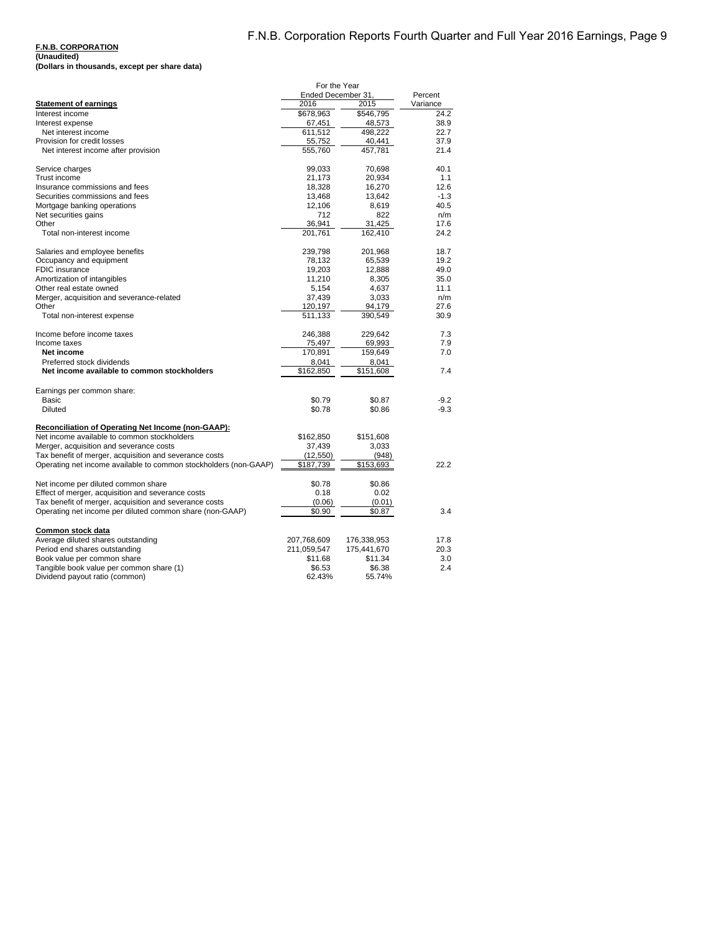| (Unaudited)                                   |  |  |
|-----------------------------------------------|--|--|
| (Dollars in thousands, except per share data) |  |  |

|                                                                  | For the Year<br>Ended December 31, | Percent     |          |
|------------------------------------------------------------------|------------------------------------|-------------|----------|
| <b>Statement of earnings</b>                                     | 2016                               | 2015        | Variance |
| Interest income                                                  | \$678,963                          | \$546,795   | 24.2     |
| Interest expense                                                 | 67,451                             | 48,573      | 38.9     |
| Net interest income                                              | 611,512                            | 498,222     | 22.7     |
| Provision for credit losses                                      | 55,752                             | 40,441      | 37.9     |
| Net interest income after provision                              | 555,760                            | 457,781     | 21.4     |
|                                                                  |                                    |             |          |
| Service charges                                                  | 99,033                             | 70,698      | 40.1     |
| Trust income                                                     | 21,173                             | 20,934      | 1.1      |
| Insurance commissions and fees                                   | 18,328                             | 16,270      | 12.6     |
| Securities commissions and fees                                  | 13,468                             | 13,642      | $-1.3$   |
| Mortgage banking operations                                      | 12,106                             | 8,619       | 40.5     |
| Net securities gains                                             | 712                                | 822         | n/m      |
| Other                                                            | 36,941                             | 31,425      | 17.6     |
| Total non-interest income                                        | 201,761                            | 162,410     | 24.2     |
| Salaries and employee benefits                                   | 239,798                            | 201,968     | 18.7     |
| Occupancy and equipment                                          | 78,132                             | 65,539      | 19.2     |
| FDIC insurance                                                   | 19,203                             | 12,888      | 49.0     |
| Amortization of intangibles                                      | 11,210                             | 8,305       | 35.0     |
| Other real estate owned                                          | 5,154                              | 4,637       | 11.1     |
| Merger, acquisition and severance-related                        | 37,439                             | 3,033       | n/m      |
| Other                                                            | 120,197                            | 94,179      | 27.6     |
| Total non-interest expense                                       | 511,133                            | 390,549     | 30.9     |
| Income before income taxes                                       | 246,388                            | 229,642     | 7.3      |
| Income taxes                                                     | 75,497                             | 69,993      | 7.9      |
| Net income                                                       | 170,891                            | 159,649     | 7.0      |
| Preferred stock dividends                                        | 8,041                              | 8,041       |          |
| Net income available to common stockholders                      | \$162,850                          | \$151,608   | 7.4      |
| Earnings per common share:                                       |                                    |             |          |
| Basic                                                            | \$0.79                             | \$0.87      | $-9.2$   |
| <b>Diluted</b>                                                   | \$0.78                             | \$0.86      | $-9.3$   |
| Reconciliation of Operating Net Income (non-GAAP):               |                                    |             |          |
| Net income available to common stockholders                      | \$162,850                          | \$151,608   |          |
| Merger, acquisition and severance costs                          | 37,439                             | 3,033       |          |
| Tax benefit of merger, acquisition and severance costs           | (12, 550)                          | (948)       |          |
| Operating net income available to common stockholders (non-GAAP) | \$187,739                          | \$153,693   | 22.2     |
|                                                                  |                                    |             |          |
| Net income per diluted common share                              | \$0.78                             | \$0.86      |          |
| Effect of merger, acquisition and severance costs                | 0.18                               | 0.02        |          |
| Tax benefit of merger, acquisition and severance costs           | (0.06)                             | (0.01)      |          |
| Operating net income per diluted common share (non-GAAP)         | \$0.90                             | \$0.87      | 3.4      |
| Common stock data                                                |                                    |             |          |
| Average diluted shares outstanding                               | 207,768,609                        | 176,338,953 | 17.8     |
| Period end shares outstanding                                    | 211,059,547                        | 175,441,670 | 20.3     |
| Book value per common share                                      | \$11.68                            | \$11.34     | 3.0      |
| Tangible book value per common share (1)                         | \$6.53                             | \$6.38      | 2.4      |
| Dividend payout ratio (common)                                   | 62.43%                             | 55.74%      |          |
|                                                                  |                                    |             |          |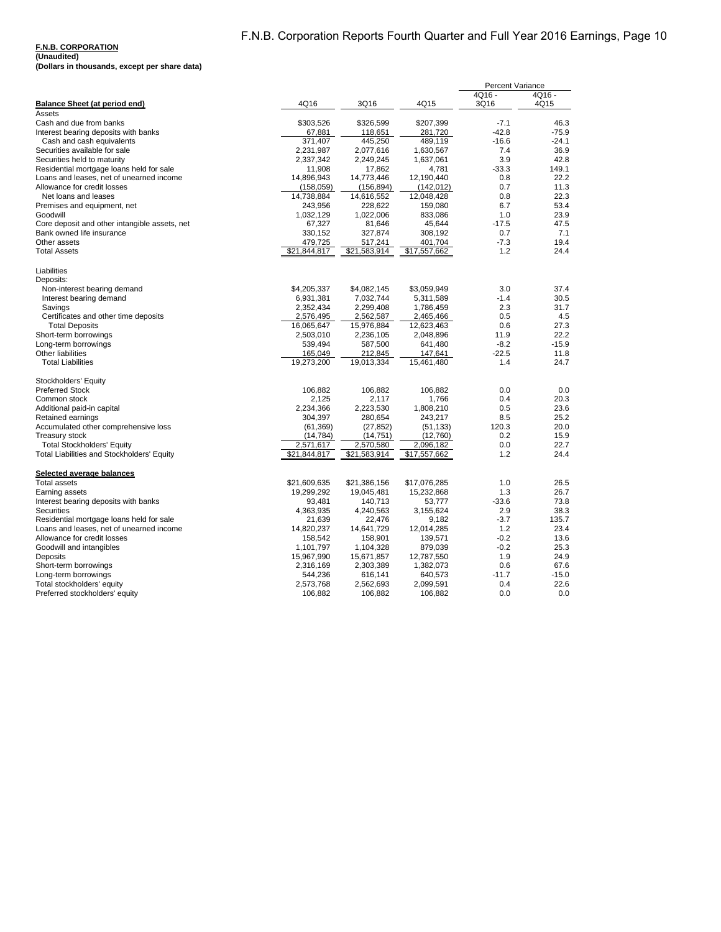#### **F.N.B. CORPORATION (Unaudited)**

| (Dollars in thousands, except per share data) |  |
|-----------------------------------------------|--|

|                                                   |              |              |              | <b>Percent Variance</b> |         |
|---------------------------------------------------|--------------|--------------|--------------|-------------------------|---------|
|                                                   |              |              |              | 4Q16 -                  | 4Q16 -  |
| <b>Balance Sheet (at period end)</b>              | 4Q16         | 3Q16         | 4Q15         | 3Q16                    | 4Q15    |
| Assets                                            |              |              |              |                         |         |
| Cash and due from banks                           | \$303,526    | \$326,599    | \$207,399    | $-7.1$                  | 46.3    |
| Interest bearing deposits with banks              | 67,881       | 118,651      | 281,720      | $-42.8$                 | $-75.9$ |
| Cash and cash equivalents                         | 371,407      | 445,250      | 489,119      | $-16.6$                 | $-24.1$ |
| Securities available for sale                     | 2,231,987    | 2,077,616    | 1,630,567    | 7.4                     | 36.9    |
| Securities held to maturity                       | 2,337,342    | 2,249,245    | 1,637,061    | 3.9                     | 42.8    |
| Residential mortgage loans held for sale          | 11,908       | 17,862       | 4,781        | $-33.3$                 | 149.1   |
| Loans and leases, net of unearned income          | 14,896,943   | 14,773,446   | 12.190.440   | 0.8                     | 22.2    |
| Allowance for credit losses                       | (158, 059)   | (156, 894)   | (142, 012)   | 0.7                     | 11.3    |
| Net loans and leases                              | 14,738,884   | 14,616,552   | 12,048,428   | 0.8                     | 22.3    |
| Premises and equipment, net                       | 243,956      | 228,622      | 159,080      | 6.7                     | 53.4    |
| Goodwill                                          | 1,032,129    | 1,022,006    | 833,086      | 1.0                     | 23.9    |
| Core deposit and other intangible assets, net     | 67,327       | 81,646       | 45,644       | $-17.5$                 | 47.5    |
| Bank owned life insurance                         | 330,152      | 327,874      | 308,192      | 0.7                     | 7.1     |
| Other assets                                      | 479,725      | 517,241      | 401,704      | $-7.3$                  | 19.4    |
| <b>Total Assets</b>                               | \$21,844,817 | \$21,583,914 | \$17,557,662 | 1.2                     | 24.4    |
| Liabilities                                       |              |              |              |                         |         |
| Deposits:                                         |              |              |              |                         |         |
| Non-interest bearing demand                       | \$4,205,337  | \$4,082,145  | \$3,059,949  | 3.0                     | 37.4    |
| Interest bearing demand                           | 6,931,381    | 7,032,744    | 5,311,589    | $-1.4$                  | 30.5    |
| Savings                                           | 2,352,434    | 2,299,408    | 1,786,459    | 2.3                     | 31.7    |
| Certificates and other time deposits              | 2,576,495    | 2,562,587    | 2,465,466    | 0.5                     | 4.5     |
| <b>Total Deposits</b>                             | 16,065,647   | 15,976,884   | 12,623,463   | 0.6                     | 27.3    |
| Short-term borrowings                             | 2,503,010    | 2,236,105    | 2,048,896    | 11.9                    | 22.2    |
| Long-term borrowings                              | 539,494      | 587,500      | 641,480      | $-8.2$                  | $-15.9$ |
| <b>Other liabilities</b>                          | 165,049      | 212,845      | 147,641      | $-22.5$                 | 11.8    |
| <b>Total Liabilities</b>                          | 19,273,200   | 19,013,334   | 15,461,480   | 1.4                     | 24.7    |
| Stockholders' Equity                              |              |              |              |                         |         |
| <b>Preferred Stock</b>                            | 106,882      | 106,882      | 106,882      | 0.0                     | 0.0     |
| Common stock                                      | 2,125        | 2,117        | 1.766        | 0.4                     | 20.3    |
| Additional paid-in capital                        | 2,234,366    | 2,223,530    | 1,808,210    | 0.5                     | 23.6    |
| Retained earnings                                 | 304,397      | 280,654      | 243,217      | 8.5                     | 25.2    |
| Accumulated other comprehensive loss              | (61, 369)    | (27, 852)    | (51, 133)    | 120.3                   | 20.0    |
| Treasury stock                                    | (14, 784)    | (14, 751)    | (12,760)     | 0.2                     | 15.9    |
| <b>Total Stockholders' Equity</b>                 | 2,571,617    | 2,570,580    | 2,096,182    | 0.0                     | 22.7    |
| <b>Total Liabilities and Stockholders' Equity</b> | \$21,844,817 | \$21,583,914 | \$17,557,662 | 1.2                     | 24.4    |
| Selected average balances                         |              |              |              |                         |         |
| <b>Total assets</b>                               | \$21,609,635 | \$21,386,156 | \$17,076,285 | 1.0                     | 26.5    |
| Earning assets                                    | 19,299,292   | 19,045,481   | 15,232,868   | 1.3                     | 26.7    |
| Interest bearing deposits with banks              | 93,481       | 140,713      | 53,777       | $-33.6$                 | 73.8    |
| <b>Securities</b>                                 | 4,363,935    | 4,240,563    | 3,155,624    | 2.9                     | 38.3    |
| Residential mortgage loans held for sale          | 21,639       | 22,476       | 9,182        | $-3.7$                  | 135.7   |
| Loans and leases, net of unearned income          | 14,820,237   | 14,641,729   | 12,014,285   | 1.2                     | 23.4    |
| Allowance for credit losses                       | 158,542      | 158,901      | 139,571      | $-0.2$                  | 13.6    |
| Goodwill and intangibles                          | 1,101,797    | 1,104,328    | 879,039      | $-0.2$                  | 25.3    |
| Deposits                                          | 15,967,990   | 15,671,857   | 12,787,550   | 1.9                     | 24.9    |
| Short-term borrowings                             | 2,316,169    | 2,303,389    | 1,382,073    | 0.6                     | 67.6    |
| Long-term borrowings                              | 544,236      | 616,141      | 640,573      | $-11.7$                 | $-15.0$ |
| Total stockholders' equity                        | 2,573,768    | 2,562,693    | 2,099,591    | 0.4                     | 22.6    |
| Preferred stockholders' equity                    | 106,882      | 106,882      | 106,882      | 0.0                     | 0.0     |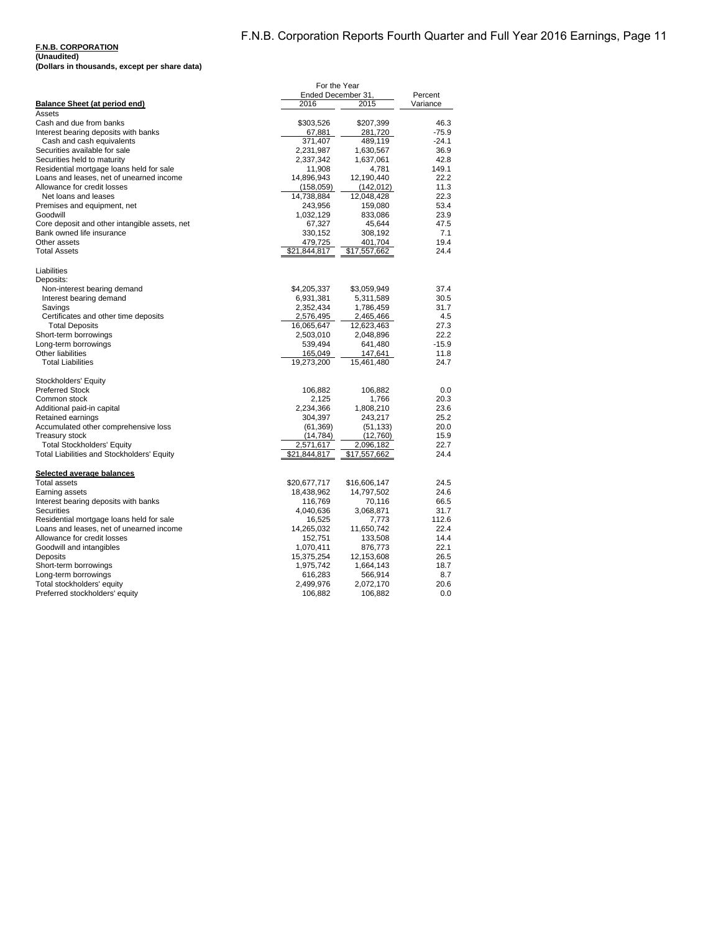#### **F.N.B. CORPORATION (Unaudited)**

**(Dollars in thousands, except per share data)**

|                                               | For the Year       |              |          |
|-----------------------------------------------|--------------------|--------------|----------|
|                                               | Ended December 31, |              | Percent  |
| Balance Sheet (at period end)                 | 2016               | 2015         | Variance |
| Assets                                        |                    |              |          |
| Cash and due from banks                       | \$303,526          | \$207,399    | 46.3     |
| Interest bearing deposits with banks          | 67,881             | 281,720      | $-75.9$  |
| Cash and cash equivalents                     | 371,407            | 489,119      | $-24.1$  |
| Securities available for sale                 | 2,231,987          | 1,630,567    | 36.9     |
| Securities held to maturity                   | 2,337,342          | 1,637,061    | 42.8     |
| Residential mortgage loans held for sale      | 11,908             | 4,781        | 149.1    |
| Loans and leases, net of unearned income      | 14,896,943         | 12,190,440   | 22.2     |
| Allowance for credit losses                   | (158,059)          | (142, 012)   | 11.3     |
| Net loans and leases                          | 14,738,884         | 12,048,428   | 22.3     |
| Premises and equipment, net                   | 243,956            | 159,080      | 53.4     |
| Goodwill                                      | 1,032,129          | 833,086      | 23.9     |
| Core deposit and other intangible assets, net | 67,327             | 45,644       | 47.5     |
| Bank owned life insurance                     | 330,152            | 308,192      | 7.1      |
| Other assets                                  | 479,725            | 401,704      | 19.4     |
| <b>Total Assets</b>                           | \$21,844,817       | \$17,557,662 | 24.4     |
| Liabilities                                   |                    |              |          |
| Deposits:                                     |                    |              |          |
| Non-interest bearing demand                   | \$4,205,337        | \$3,059,949  | 37.4     |
| Interest bearing demand                       | 6,931,381          | 5,311,589    | 30.5     |
| Savings                                       | 2,352,434          | 1,786,459    | 31.7     |
| Certificates and other time deposits          | 2,576,495          | 2,465,466    | 4.5      |
| <b>Total Deposits</b>                         | 16,065,647         | 12,623,463   | 27.3     |
| Short-term borrowings                         | 2,503,010          | 2,048,896    | 22.2     |
| Long-term borrowings                          | 539,494            | 641,480      | $-15.9$  |
| <b>Other liabilities</b>                      | 165,049            | 147,641      | 11.8     |
| <b>Total Liabilities</b>                      | 19,273,200         | 15,461,480   | 24.7     |
|                                               |                    |              |          |
| Stockholders' Equity                          |                    |              |          |
| <b>Preferred Stock</b>                        | 106,882            | 106,882      | 0.0      |
| Common stock                                  | 2,125              | 1,766        | 20.3     |
| Additional paid-in capital                    | 2,234,366          | 1,808,210    | 23.6     |
| Retained earnings                             | 304,397            | 243,217      | 25.2     |
| Accumulated other comprehensive loss          | (61, 369)          | (51, 133)    | 20.0     |
| <b>Treasury stock</b>                         | (14,784)           | (12,760)     | 15.9     |
| <b>Total Stockholders' Equity</b>             | 2,571,617          | 2,096,182    | 22.7     |
| Total Liabilities and Stockholders' Equity    | \$21,844,817       | \$17,557,662 | 24.4     |
|                                               |                    |              |          |
| Selected average balances                     |                    |              |          |
| Total assets                                  | \$20,677,717       | \$16,606,147 | 24.5     |
| Earning assets                                | 18,438,962         | 14,797,502   | 24.6     |
| Interest bearing deposits with banks          | 116,769            | 70,116       | 66.5     |
| <b>Securities</b>                             | 4,040,636          | 3,068,871    | 31.7     |
| Residential mortgage loans held for sale      | 16,525             | 7,773        | 112.6    |
| Loans and leases, net of unearned income      | 14,265,032         | 11,650,742   | 22.4     |
| Allowance for credit losses                   | 152,751            | 133,508      | 14.4     |
| Goodwill and intangibles                      | 1,070,411          | 876,773      | 22.1     |
| Deposits                                      | 15,375,254         | 12,153,608   | 26.5     |
| Short-term borrowings                         | 1,975,742          | 1,664,143    | 18.7     |
| Long-term borrowings                          | 616,283            | 566,914      | 8.7      |
| Total stockholders' equity                    | 2,499,976          | 2,072,170    | 20.6     |
| Preferred stockholders' equity                | 106,882            | 106,882      | 0.0      |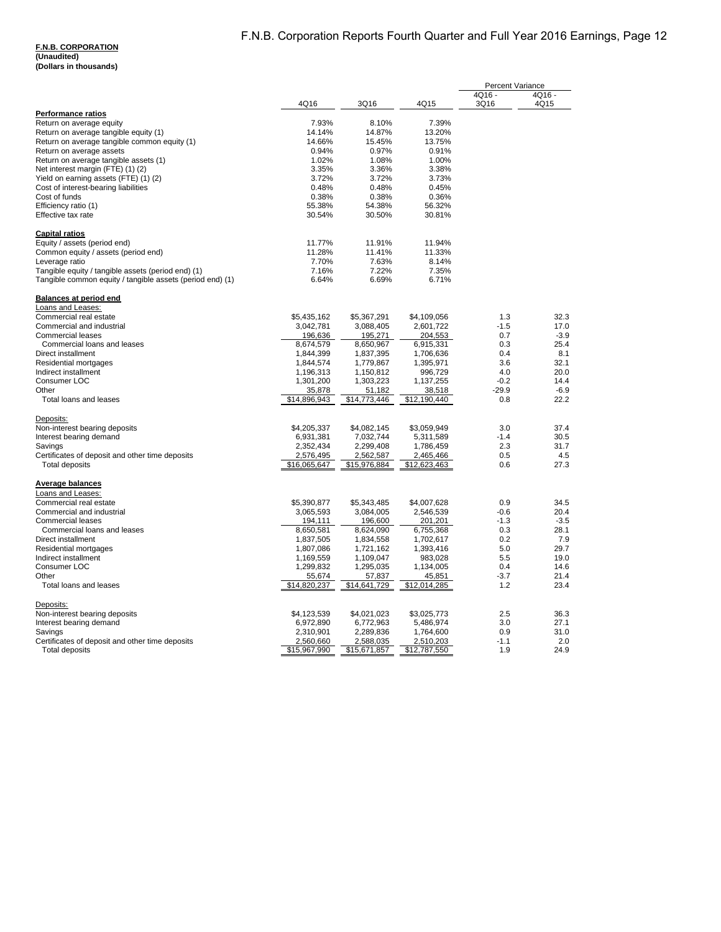**(Unaudited) (Dollars in thousands)**

|                                                           |              |              |              | <b>Percent Variance</b> |              |
|-----------------------------------------------------------|--------------|--------------|--------------|-------------------------|--------------|
|                                                           |              |              |              | 4Q16 -                  | 4Q16 -       |
|                                                           | 4Q16         | 3Q16         | 4Q15         | 3Q16                    | 4Q15         |
| <b>Performance ratios</b>                                 |              |              |              |                         |              |
| Return on average equity                                  | 7.93%        | 8.10%        | 7.39%        |                         |              |
| Return on average tangible equity (1)                     | 14.14%       | 14.87%       | 13.20%       |                         |              |
| Return on average tangible common equity (1)              | 14.66%       | 15.45%       | 13.75%       |                         |              |
| Return on average assets                                  | 0.94%        | 0.97%        | 0.91%        |                         |              |
| Return on average tangible assets (1)                     | 1.02%        | 1.08%        | 1.00%        |                         |              |
| Net interest margin (FTE) (1) (2)                         | 3.35%        | 3.36%        | 3.38%        |                         |              |
| Yield on earning assets (FTE) (1) (2)                     | 3.72%        | 3.72%        | 3.73%        |                         |              |
| Cost of interest-bearing liabilities                      | 0.48%        | 0.48%        | 0.45%        |                         |              |
| Cost of funds                                             | 0.38%        | 0.38%        | 0.36%        |                         |              |
| Efficiency ratio (1)                                      | 55.38%       | 54.38%       | 56.32%       |                         |              |
| Effective tax rate                                        | 30.54%       | 30.50%       | 30.81%       |                         |              |
|                                                           |              |              |              |                         |              |
| <b>Capital ratios</b>                                     |              |              |              |                         |              |
| Equity / assets (period end)                              | 11.77%       | 11.91%       | 11.94%       |                         |              |
| Common equity / assets (period end)                       | 11.28%       | 11.41%       | 11.33%       |                         |              |
| Leverage ratio                                            | 7.70%        | 7.63%        | 8.14%        |                         |              |
| Tangible equity / tangible assets (period end) (1)        | 7.16%        | 7.22%        | 7.35%        |                         |              |
| Tangible common equity / tangible assets (period end) (1) | 6.64%        | 6.69%        | 6.71%        |                         |              |
|                                                           |              |              |              |                         |              |
| <b>Balances at period end</b>                             |              |              |              |                         |              |
| Loans and Leases:                                         |              |              |              |                         |              |
| Commercial real estate                                    | \$5,435,162  | \$5,367,291  | \$4,109,056  | 1.3                     | 32.3         |
| Commercial and industrial                                 | 3,042,781    | 3,088,405    | 2,601,722    | $-1.5$                  | 17.0         |
| <b>Commercial leases</b>                                  | 196,636      | 195,271      | 204,553      | 0.7                     | $-3.9$       |
| Commercial loans and leases                               | 8,674,579    | 8,650,967    | 6,915,331    | 0.3                     | 25.4         |
| Direct installment                                        | 1,844,399    | 1,837,395    | 1,706,636    | 0.4                     | 8.1          |
| Residential mortgages                                     | 1,844,574    | 1,779,867    | 1,395,971    | 3.6                     | 32.1         |
| Indirect installment                                      | 1,196,313    | 1,150,812    | 996,729      | 4.0                     | 20.0         |
| Consumer LOC                                              | 1,301,200    | 1,303,223    | 1,137,255    | $-0.2$                  | 14.4         |
| Other                                                     | 35,878       | 51,182       | 38,518       | $-29.9$                 | $-6.9$       |
| Total loans and leases                                    | \$14,896,943 | \$14,773,446 | \$12,190,440 | 0.8                     | 22.2         |
|                                                           |              |              |              |                         |              |
| Deposits:                                                 |              |              |              |                         |              |
| Non-interest bearing deposits                             | \$4.205.337  | \$4.082.145  | \$3.059.949  | 3.0                     | 37.4         |
| Interest bearing demand                                   | 6,931,381    | 7,032,744    | 5,311,589    | $-1.4$                  | 30.5         |
| Savings                                                   | 2,352,434    | 2,299,408    | 1,786,459    | 2.3                     | 31.7         |
| Certificates of deposit and other time deposits           | 2,576,495    | 2,562,587    | 2,465,466    | 0.5                     | 4.5          |
| <b>Total deposits</b>                                     | \$16,065,647 | \$15,976,884 | \$12,623,463 | 0.6                     | 27.3         |
|                                                           |              |              |              |                         |              |
| Average balances                                          |              |              |              |                         |              |
| Loans and Leases:                                         |              |              |              |                         |              |
| Commercial real estate                                    | \$5,390,877  | \$5,343,485  | \$4,007,628  | 0.9                     | 34.5         |
| Commercial and industrial                                 | 3,065,593    | 3,084,005    | 2,546,539    | $-0.6$                  | 20.4         |
| <b>Commercial leases</b>                                  | 194,111      | 196,600      | 201,201      | $-1.3$                  | $-3.5$       |
| Commercial loans and leases                               | 8,650,581    | 8,624,090    | 6,755,368    | 0.3                     | 28.1         |
| Direct installment                                        | 1,837,505    | 1,834,558    | 1,702,617    | 0.2                     | 7.9          |
|                                                           |              | 1,721,162    | 1,393,416    | 5.0                     | 29.7         |
| Residential mortgages                                     | 1,807,086    |              |              |                         |              |
| Indirect installment                                      | 1,169,559    | 1,109,047    | 983,028      | 5.5                     | 19.0         |
| Consumer LOC                                              | 1,299,832    | 1,295,035    | 1,134,005    | 0.4                     | 14.6         |
| Other                                                     | 55,674       | 57,837       | 45,851       | $-3.7$                  | 21.4<br>23.4 |
| Total loans and leases                                    | \$14,820,237 | \$14,641,729 | \$12,014,285 | 1.2                     |              |
| Deposits:                                                 |              |              |              |                         |              |
| Non-interest bearing deposits                             | \$4,123,539  | \$4,021,023  | \$3,025,773  | 2.5                     | 36.3         |
| Interest bearing demand                                   | 6,972,890    | 6,772,963    | 5,486,974    | 3.0                     | 27.1         |
| Savings                                                   | 2,310,901    | 2,289,836    | 1,764,600    | 0.9                     | 31.0         |
| Certificates of deposit and other time deposits           | 2,560,660    | 2,588,035    | 2,510,203    | $-1.1$                  | 2.0          |
|                                                           |              |              |              | 1.9                     | 24.9         |
| <b>Total deposits</b>                                     | \$15,967,990 | \$15,671,857 | \$12,787,550 |                         |              |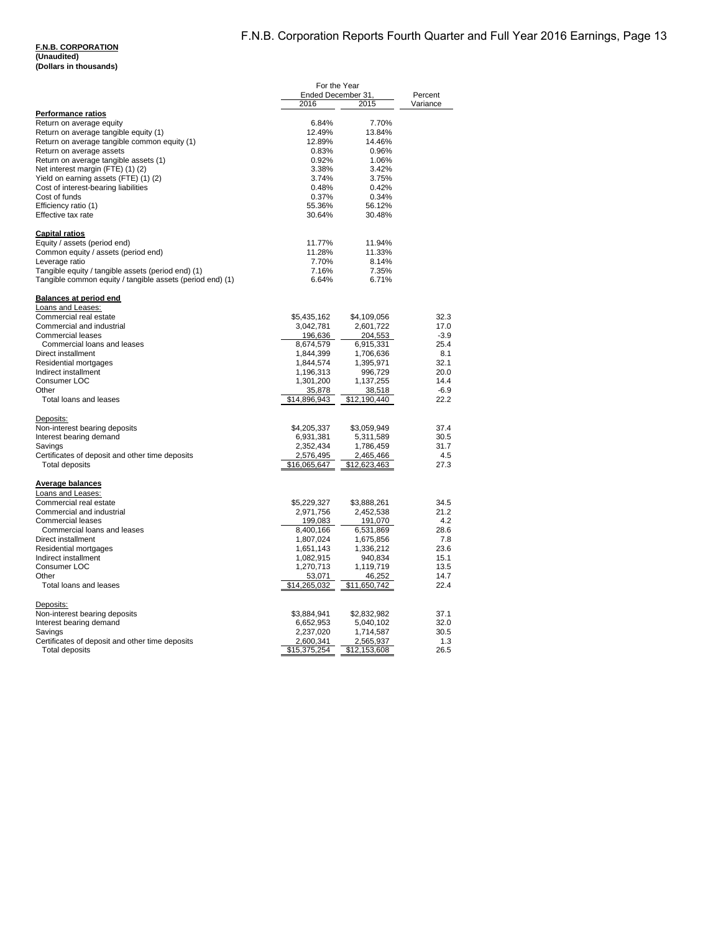**(Unaudited) (Dollars in thousands)**

| Ended December 31.<br>2016<br>2015<br>Variance<br><b>Performance ratios</b><br>Return on average equity<br>6.84%<br>7.70%<br>Return on average tangible equity (1)<br>12.49%<br>13.84%<br>Return on average tangible common equity (1)<br>12.89%<br>14.46%<br>Return on average assets<br>0.96%<br>0.83%<br>Return on average tangible assets (1)<br>0.92%<br>1.06%<br>Net interest margin (FTE) (1) (2)<br>3.42%<br>3.38%<br>Yield on earning assets (FTE) (1) (2)<br>3.74%<br>3.75%<br>Cost of interest-bearing liabilities<br>0.48%<br>0.42%<br>Cost of funds<br>0.37%<br>0.34%<br>Efficiency ratio (1)<br>55.36%<br>56.12%<br>Effective tax rate<br>30.64%<br>30.48%<br><b>Capital ratios</b><br>Equity / assets (period end)<br>11.77%<br>11.94%<br>Common equity / assets (period end)<br>11.28%<br>11.33%<br>Leverage ratio<br>7.70%<br>8.14%<br>Tangible equity / tangible assets (period end) (1)<br>7.16%<br>7.35%<br>Tangible common equity / tangible assets (period end) (1)<br>6.64%<br>6.71%<br><b>Balances at period end</b><br>Loans and Leases:<br>Commercial real estate<br>\$5,435,162<br>\$4,109,056<br>32.3<br>Commercial and industrial<br>3,042,781<br>2,601,722<br>17.0<br><b>Commercial leases</b><br>196,636<br>204,553<br>$-3.9$<br>25.4<br>Commercial loans and leases<br>8,674,579<br>6,915,331<br>Direct installment<br>1,844,399<br>1,706,636<br>8.1<br>Residential mortgages<br>32.1<br>1,844,574<br>1,395,971<br>Indirect installment<br>1,196,313<br>996,729<br>20.0<br>Consumer LOC<br>14.4<br>1,301,200<br>1,137,255<br>$-6.9$<br>Other<br>35,878<br>38,518<br>Total loans and leases<br>\$14,896,943<br>\$12,190,440<br>22.2<br>Deposits:<br>Non-interest bearing deposits<br>\$4,205,337<br>\$3.059.949<br>37.4<br>Interest bearing demand<br>30.5<br>6,931,381<br>5,311,589<br>2,352,434<br>31.7<br>Savings<br>1,786,459<br>Certificates of deposit and other time deposits<br>2,576,495<br>2,465,466<br>4.5<br><b>Total deposits</b><br>27.3<br>\$16,065,647<br>\$12,623,463<br>Average balances<br>Loans and Leases:<br>Commercial real estate<br>\$5,229,327<br>\$3,888,261<br>34.5<br>Commercial and industrial<br>2,971,756<br>2,452,538<br>21.2<br><b>Commercial leases</b><br>199,083<br>191,070<br>4.2<br>Commercial loans and leases<br>8,400,166<br>6,531,869<br>28.6<br>Direct installment<br>7.8<br>1,807,024<br>1,675,856<br>Residential mortgages<br>1,651,143<br>1,336,212<br>23.6<br>Indirect installment<br>1,082,915<br>940,834<br>15.1<br>Consumer LOC<br>1,119,719<br>13.5<br>1,270,713<br>46,252<br>14.7<br>Other<br>53,071<br>Total loans and leases<br>\$14,265,032<br>\$11,650,742<br>22.4<br>Deposits:<br>Non-interest bearing deposits<br>\$3,884,941<br>\$2,832,982<br>37.1<br>Interest bearing demand<br>32.0<br>6,652,953<br>5,040,102<br>1,714,587<br>30.5<br>Savings<br>2,237,020<br>Certificates of deposit and other time deposits<br>1.3<br>2,600,341<br>2,565,937<br><b>Total deposits</b><br>\$15,375,254<br>\$12,153,608<br>26.5 | For the Year |  |         |
|---------------------------------------------------------------------------------------------------------------------------------------------------------------------------------------------------------------------------------------------------------------------------------------------------------------------------------------------------------------------------------------------------------------------------------------------------------------------------------------------------------------------------------------------------------------------------------------------------------------------------------------------------------------------------------------------------------------------------------------------------------------------------------------------------------------------------------------------------------------------------------------------------------------------------------------------------------------------------------------------------------------------------------------------------------------------------------------------------------------------------------------------------------------------------------------------------------------------------------------------------------------------------------------------------------------------------------------------------------------------------------------------------------------------------------------------------------------------------------------------------------------------------------------------------------------------------------------------------------------------------------------------------------------------------------------------------------------------------------------------------------------------------------------------------------------------------------------------------------------------------------------------------------------------------------------------------------------------------------------------------------------------------------------------------------------------------------------------------------------------------------------------------------------------------------------------------------------------------------------------------------------------------------------------------------------------------------------------------------------------------------------------------------------------------------------------------------------------------------------------------------------------------------------------------------------------------------------------------------------------------------------------------------------------------------------------------------------------------------------------------------------------------------------------------------------------------------------------------------------------------------------------------------------------------------------------------------------------------------------------------------------|--------------|--|---------|
|                                                                                                                                                                                                                                                                                                                                                                                                                                                                                                                                                                                                                                                                                                                                                                                                                                                                                                                                                                                                                                                                                                                                                                                                                                                                                                                                                                                                                                                                                                                                                                                                                                                                                                                                                                                                                                                                                                                                                                                                                                                                                                                                                                                                                                                                                                                                                                                                                                                                                                                                                                                                                                                                                                                                                                                                                                                                                                                                                                                                               |              |  | Percent |
|                                                                                                                                                                                                                                                                                                                                                                                                                                                                                                                                                                                                                                                                                                                                                                                                                                                                                                                                                                                                                                                                                                                                                                                                                                                                                                                                                                                                                                                                                                                                                                                                                                                                                                                                                                                                                                                                                                                                                                                                                                                                                                                                                                                                                                                                                                                                                                                                                                                                                                                                                                                                                                                                                                                                                                                                                                                                                                                                                                                                               |              |  |         |
|                                                                                                                                                                                                                                                                                                                                                                                                                                                                                                                                                                                                                                                                                                                                                                                                                                                                                                                                                                                                                                                                                                                                                                                                                                                                                                                                                                                                                                                                                                                                                                                                                                                                                                                                                                                                                                                                                                                                                                                                                                                                                                                                                                                                                                                                                                                                                                                                                                                                                                                                                                                                                                                                                                                                                                                                                                                                                                                                                                                                               |              |  |         |
|                                                                                                                                                                                                                                                                                                                                                                                                                                                                                                                                                                                                                                                                                                                                                                                                                                                                                                                                                                                                                                                                                                                                                                                                                                                                                                                                                                                                                                                                                                                                                                                                                                                                                                                                                                                                                                                                                                                                                                                                                                                                                                                                                                                                                                                                                                                                                                                                                                                                                                                                                                                                                                                                                                                                                                                                                                                                                                                                                                                                               |              |  |         |
|                                                                                                                                                                                                                                                                                                                                                                                                                                                                                                                                                                                                                                                                                                                                                                                                                                                                                                                                                                                                                                                                                                                                                                                                                                                                                                                                                                                                                                                                                                                                                                                                                                                                                                                                                                                                                                                                                                                                                                                                                                                                                                                                                                                                                                                                                                                                                                                                                                                                                                                                                                                                                                                                                                                                                                                                                                                                                                                                                                                                               |              |  |         |
|                                                                                                                                                                                                                                                                                                                                                                                                                                                                                                                                                                                                                                                                                                                                                                                                                                                                                                                                                                                                                                                                                                                                                                                                                                                                                                                                                                                                                                                                                                                                                                                                                                                                                                                                                                                                                                                                                                                                                                                                                                                                                                                                                                                                                                                                                                                                                                                                                                                                                                                                                                                                                                                                                                                                                                                                                                                                                                                                                                                                               |              |  |         |
|                                                                                                                                                                                                                                                                                                                                                                                                                                                                                                                                                                                                                                                                                                                                                                                                                                                                                                                                                                                                                                                                                                                                                                                                                                                                                                                                                                                                                                                                                                                                                                                                                                                                                                                                                                                                                                                                                                                                                                                                                                                                                                                                                                                                                                                                                                                                                                                                                                                                                                                                                                                                                                                                                                                                                                                                                                                                                                                                                                                                               |              |  |         |
|                                                                                                                                                                                                                                                                                                                                                                                                                                                                                                                                                                                                                                                                                                                                                                                                                                                                                                                                                                                                                                                                                                                                                                                                                                                                                                                                                                                                                                                                                                                                                                                                                                                                                                                                                                                                                                                                                                                                                                                                                                                                                                                                                                                                                                                                                                                                                                                                                                                                                                                                                                                                                                                                                                                                                                                                                                                                                                                                                                                                               |              |  |         |
|                                                                                                                                                                                                                                                                                                                                                                                                                                                                                                                                                                                                                                                                                                                                                                                                                                                                                                                                                                                                                                                                                                                                                                                                                                                                                                                                                                                                                                                                                                                                                                                                                                                                                                                                                                                                                                                                                                                                                                                                                                                                                                                                                                                                                                                                                                                                                                                                                                                                                                                                                                                                                                                                                                                                                                                                                                                                                                                                                                                                               |              |  |         |
|                                                                                                                                                                                                                                                                                                                                                                                                                                                                                                                                                                                                                                                                                                                                                                                                                                                                                                                                                                                                                                                                                                                                                                                                                                                                                                                                                                                                                                                                                                                                                                                                                                                                                                                                                                                                                                                                                                                                                                                                                                                                                                                                                                                                                                                                                                                                                                                                                                                                                                                                                                                                                                                                                                                                                                                                                                                                                                                                                                                                               |              |  |         |
|                                                                                                                                                                                                                                                                                                                                                                                                                                                                                                                                                                                                                                                                                                                                                                                                                                                                                                                                                                                                                                                                                                                                                                                                                                                                                                                                                                                                                                                                                                                                                                                                                                                                                                                                                                                                                                                                                                                                                                                                                                                                                                                                                                                                                                                                                                                                                                                                                                                                                                                                                                                                                                                                                                                                                                                                                                                                                                                                                                                                               |              |  |         |
|                                                                                                                                                                                                                                                                                                                                                                                                                                                                                                                                                                                                                                                                                                                                                                                                                                                                                                                                                                                                                                                                                                                                                                                                                                                                                                                                                                                                                                                                                                                                                                                                                                                                                                                                                                                                                                                                                                                                                                                                                                                                                                                                                                                                                                                                                                                                                                                                                                                                                                                                                                                                                                                                                                                                                                                                                                                                                                                                                                                                               |              |  |         |
|                                                                                                                                                                                                                                                                                                                                                                                                                                                                                                                                                                                                                                                                                                                                                                                                                                                                                                                                                                                                                                                                                                                                                                                                                                                                                                                                                                                                                                                                                                                                                                                                                                                                                                                                                                                                                                                                                                                                                                                                                                                                                                                                                                                                                                                                                                                                                                                                                                                                                                                                                                                                                                                                                                                                                                                                                                                                                                                                                                                                               |              |  |         |
|                                                                                                                                                                                                                                                                                                                                                                                                                                                                                                                                                                                                                                                                                                                                                                                                                                                                                                                                                                                                                                                                                                                                                                                                                                                                                                                                                                                                                                                                                                                                                                                                                                                                                                                                                                                                                                                                                                                                                                                                                                                                                                                                                                                                                                                                                                                                                                                                                                                                                                                                                                                                                                                                                                                                                                                                                                                                                                                                                                                                               |              |  |         |
|                                                                                                                                                                                                                                                                                                                                                                                                                                                                                                                                                                                                                                                                                                                                                                                                                                                                                                                                                                                                                                                                                                                                                                                                                                                                                                                                                                                                                                                                                                                                                                                                                                                                                                                                                                                                                                                                                                                                                                                                                                                                                                                                                                                                                                                                                                                                                                                                                                                                                                                                                                                                                                                                                                                                                                                                                                                                                                                                                                                                               |              |  |         |
|                                                                                                                                                                                                                                                                                                                                                                                                                                                                                                                                                                                                                                                                                                                                                                                                                                                                                                                                                                                                                                                                                                                                                                                                                                                                                                                                                                                                                                                                                                                                                                                                                                                                                                                                                                                                                                                                                                                                                                                                                                                                                                                                                                                                                                                                                                                                                                                                                                                                                                                                                                                                                                                                                                                                                                                                                                                                                                                                                                                                               |              |  |         |
|                                                                                                                                                                                                                                                                                                                                                                                                                                                                                                                                                                                                                                                                                                                                                                                                                                                                                                                                                                                                                                                                                                                                                                                                                                                                                                                                                                                                                                                                                                                                                                                                                                                                                                                                                                                                                                                                                                                                                                                                                                                                                                                                                                                                                                                                                                                                                                                                                                                                                                                                                                                                                                                                                                                                                                                                                                                                                                                                                                                                               |              |  |         |
|                                                                                                                                                                                                                                                                                                                                                                                                                                                                                                                                                                                                                                                                                                                                                                                                                                                                                                                                                                                                                                                                                                                                                                                                                                                                                                                                                                                                                                                                                                                                                                                                                                                                                                                                                                                                                                                                                                                                                                                                                                                                                                                                                                                                                                                                                                                                                                                                                                                                                                                                                                                                                                                                                                                                                                                                                                                                                                                                                                                                               |              |  |         |
|                                                                                                                                                                                                                                                                                                                                                                                                                                                                                                                                                                                                                                                                                                                                                                                                                                                                                                                                                                                                                                                                                                                                                                                                                                                                                                                                                                                                                                                                                                                                                                                                                                                                                                                                                                                                                                                                                                                                                                                                                                                                                                                                                                                                                                                                                                                                                                                                                                                                                                                                                                                                                                                                                                                                                                                                                                                                                                                                                                                                               |              |  |         |
|                                                                                                                                                                                                                                                                                                                                                                                                                                                                                                                                                                                                                                                                                                                                                                                                                                                                                                                                                                                                                                                                                                                                                                                                                                                                                                                                                                                                                                                                                                                                                                                                                                                                                                                                                                                                                                                                                                                                                                                                                                                                                                                                                                                                                                                                                                                                                                                                                                                                                                                                                                                                                                                                                                                                                                                                                                                                                                                                                                                                               |              |  |         |
|                                                                                                                                                                                                                                                                                                                                                                                                                                                                                                                                                                                                                                                                                                                                                                                                                                                                                                                                                                                                                                                                                                                                                                                                                                                                                                                                                                                                                                                                                                                                                                                                                                                                                                                                                                                                                                                                                                                                                                                                                                                                                                                                                                                                                                                                                                                                                                                                                                                                                                                                                                                                                                                                                                                                                                                                                                                                                                                                                                                                               |              |  |         |
|                                                                                                                                                                                                                                                                                                                                                                                                                                                                                                                                                                                                                                                                                                                                                                                                                                                                                                                                                                                                                                                                                                                                                                                                                                                                                                                                                                                                                                                                                                                                                                                                                                                                                                                                                                                                                                                                                                                                                                                                                                                                                                                                                                                                                                                                                                                                                                                                                                                                                                                                                                                                                                                                                                                                                                                                                                                                                                                                                                                                               |              |  |         |
|                                                                                                                                                                                                                                                                                                                                                                                                                                                                                                                                                                                                                                                                                                                                                                                                                                                                                                                                                                                                                                                                                                                                                                                                                                                                                                                                                                                                                                                                                                                                                                                                                                                                                                                                                                                                                                                                                                                                                                                                                                                                                                                                                                                                                                                                                                                                                                                                                                                                                                                                                                                                                                                                                                                                                                                                                                                                                                                                                                                                               |              |  |         |
|                                                                                                                                                                                                                                                                                                                                                                                                                                                                                                                                                                                                                                                                                                                                                                                                                                                                                                                                                                                                                                                                                                                                                                                                                                                                                                                                                                                                                                                                                                                                                                                                                                                                                                                                                                                                                                                                                                                                                                                                                                                                                                                                                                                                                                                                                                                                                                                                                                                                                                                                                                                                                                                                                                                                                                                                                                                                                                                                                                                                               |              |  |         |
|                                                                                                                                                                                                                                                                                                                                                                                                                                                                                                                                                                                                                                                                                                                                                                                                                                                                                                                                                                                                                                                                                                                                                                                                                                                                                                                                                                                                                                                                                                                                                                                                                                                                                                                                                                                                                                                                                                                                                                                                                                                                                                                                                                                                                                                                                                                                                                                                                                                                                                                                                                                                                                                                                                                                                                                                                                                                                                                                                                                                               |              |  |         |
|                                                                                                                                                                                                                                                                                                                                                                                                                                                                                                                                                                                                                                                                                                                                                                                                                                                                                                                                                                                                                                                                                                                                                                                                                                                                                                                                                                                                                                                                                                                                                                                                                                                                                                                                                                                                                                                                                                                                                                                                                                                                                                                                                                                                                                                                                                                                                                                                                                                                                                                                                                                                                                                                                                                                                                                                                                                                                                                                                                                                               |              |  |         |
|                                                                                                                                                                                                                                                                                                                                                                                                                                                                                                                                                                                                                                                                                                                                                                                                                                                                                                                                                                                                                                                                                                                                                                                                                                                                                                                                                                                                                                                                                                                                                                                                                                                                                                                                                                                                                                                                                                                                                                                                                                                                                                                                                                                                                                                                                                                                                                                                                                                                                                                                                                                                                                                                                                                                                                                                                                                                                                                                                                                                               |              |  |         |
|                                                                                                                                                                                                                                                                                                                                                                                                                                                                                                                                                                                                                                                                                                                                                                                                                                                                                                                                                                                                                                                                                                                                                                                                                                                                                                                                                                                                                                                                                                                                                                                                                                                                                                                                                                                                                                                                                                                                                                                                                                                                                                                                                                                                                                                                                                                                                                                                                                                                                                                                                                                                                                                                                                                                                                                                                                                                                                                                                                                                               |              |  |         |
|                                                                                                                                                                                                                                                                                                                                                                                                                                                                                                                                                                                                                                                                                                                                                                                                                                                                                                                                                                                                                                                                                                                                                                                                                                                                                                                                                                                                                                                                                                                                                                                                                                                                                                                                                                                                                                                                                                                                                                                                                                                                                                                                                                                                                                                                                                                                                                                                                                                                                                                                                                                                                                                                                                                                                                                                                                                                                                                                                                                                               |              |  |         |
|                                                                                                                                                                                                                                                                                                                                                                                                                                                                                                                                                                                                                                                                                                                                                                                                                                                                                                                                                                                                                                                                                                                                                                                                                                                                                                                                                                                                                                                                                                                                                                                                                                                                                                                                                                                                                                                                                                                                                                                                                                                                                                                                                                                                                                                                                                                                                                                                                                                                                                                                                                                                                                                                                                                                                                                                                                                                                                                                                                                                               |              |  |         |
|                                                                                                                                                                                                                                                                                                                                                                                                                                                                                                                                                                                                                                                                                                                                                                                                                                                                                                                                                                                                                                                                                                                                                                                                                                                                                                                                                                                                                                                                                                                                                                                                                                                                                                                                                                                                                                                                                                                                                                                                                                                                                                                                                                                                                                                                                                                                                                                                                                                                                                                                                                                                                                                                                                                                                                                                                                                                                                                                                                                                               |              |  |         |
|                                                                                                                                                                                                                                                                                                                                                                                                                                                                                                                                                                                                                                                                                                                                                                                                                                                                                                                                                                                                                                                                                                                                                                                                                                                                                                                                                                                                                                                                                                                                                                                                                                                                                                                                                                                                                                                                                                                                                                                                                                                                                                                                                                                                                                                                                                                                                                                                                                                                                                                                                                                                                                                                                                                                                                                                                                                                                                                                                                                                               |              |  |         |
|                                                                                                                                                                                                                                                                                                                                                                                                                                                                                                                                                                                                                                                                                                                                                                                                                                                                                                                                                                                                                                                                                                                                                                                                                                                                                                                                                                                                                                                                                                                                                                                                                                                                                                                                                                                                                                                                                                                                                                                                                                                                                                                                                                                                                                                                                                                                                                                                                                                                                                                                                                                                                                                                                                                                                                                                                                                                                                                                                                                                               |              |  |         |
|                                                                                                                                                                                                                                                                                                                                                                                                                                                                                                                                                                                                                                                                                                                                                                                                                                                                                                                                                                                                                                                                                                                                                                                                                                                                                                                                                                                                                                                                                                                                                                                                                                                                                                                                                                                                                                                                                                                                                                                                                                                                                                                                                                                                                                                                                                                                                                                                                                                                                                                                                                                                                                                                                                                                                                                                                                                                                                                                                                                                               |              |  |         |
|                                                                                                                                                                                                                                                                                                                                                                                                                                                                                                                                                                                                                                                                                                                                                                                                                                                                                                                                                                                                                                                                                                                                                                                                                                                                                                                                                                                                                                                                                                                                                                                                                                                                                                                                                                                                                                                                                                                                                                                                                                                                                                                                                                                                                                                                                                                                                                                                                                                                                                                                                                                                                                                                                                                                                                                                                                                                                                                                                                                                               |              |  |         |
|                                                                                                                                                                                                                                                                                                                                                                                                                                                                                                                                                                                                                                                                                                                                                                                                                                                                                                                                                                                                                                                                                                                                                                                                                                                                                                                                                                                                                                                                                                                                                                                                                                                                                                                                                                                                                                                                                                                                                                                                                                                                                                                                                                                                                                                                                                                                                                                                                                                                                                                                                                                                                                                                                                                                                                                                                                                                                                                                                                                                               |              |  |         |
|                                                                                                                                                                                                                                                                                                                                                                                                                                                                                                                                                                                                                                                                                                                                                                                                                                                                                                                                                                                                                                                                                                                                                                                                                                                                                                                                                                                                                                                                                                                                                                                                                                                                                                                                                                                                                                                                                                                                                                                                                                                                                                                                                                                                                                                                                                                                                                                                                                                                                                                                                                                                                                                                                                                                                                                                                                                                                                                                                                                                               |              |  |         |
|                                                                                                                                                                                                                                                                                                                                                                                                                                                                                                                                                                                                                                                                                                                                                                                                                                                                                                                                                                                                                                                                                                                                                                                                                                                                                                                                                                                                                                                                                                                                                                                                                                                                                                                                                                                                                                                                                                                                                                                                                                                                                                                                                                                                                                                                                                                                                                                                                                                                                                                                                                                                                                                                                                                                                                                                                                                                                                                                                                                                               |              |  |         |
|                                                                                                                                                                                                                                                                                                                                                                                                                                                                                                                                                                                                                                                                                                                                                                                                                                                                                                                                                                                                                                                                                                                                                                                                                                                                                                                                                                                                                                                                                                                                                                                                                                                                                                                                                                                                                                                                                                                                                                                                                                                                                                                                                                                                                                                                                                                                                                                                                                                                                                                                                                                                                                                                                                                                                                                                                                                                                                                                                                                                               |              |  |         |
|                                                                                                                                                                                                                                                                                                                                                                                                                                                                                                                                                                                                                                                                                                                                                                                                                                                                                                                                                                                                                                                                                                                                                                                                                                                                                                                                                                                                                                                                                                                                                                                                                                                                                                                                                                                                                                                                                                                                                                                                                                                                                                                                                                                                                                                                                                                                                                                                                                                                                                                                                                                                                                                                                                                                                                                                                                                                                                                                                                                                               |              |  |         |
|                                                                                                                                                                                                                                                                                                                                                                                                                                                                                                                                                                                                                                                                                                                                                                                                                                                                                                                                                                                                                                                                                                                                                                                                                                                                                                                                                                                                                                                                                                                                                                                                                                                                                                                                                                                                                                                                                                                                                                                                                                                                                                                                                                                                                                                                                                                                                                                                                                                                                                                                                                                                                                                                                                                                                                                                                                                                                                                                                                                                               |              |  |         |
|                                                                                                                                                                                                                                                                                                                                                                                                                                                                                                                                                                                                                                                                                                                                                                                                                                                                                                                                                                                                                                                                                                                                                                                                                                                                                                                                                                                                                                                                                                                                                                                                                                                                                                                                                                                                                                                                                                                                                                                                                                                                                                                                                                                                                                                                                                                                                                                                                                                                                                                                                                                                                                                                                                                                                                                                                                                                                                                                                                                                               |              |  |         |
|                                                                                                                                                                                                                                                                                                                                                                                                                                                                                                                                                                                                                                                                                                                                                                                                                                                                                                                                                                                                                                                                                                                                                                                                                                                                                                                                                                                                                                                                                                                                                                                                                                                                                                                                                                                                                                                                                                                                                                                                                                                                                                                                                                                                                                                                                                                                                                                                                                                                                                                                                                                                                                                                                                                                                                                                                                                                                                                                                                                                               |              |  |         |
|                                                                                                                                                                                                                                                                                                                                                                                                                                                                                                                                                                                                                                                                                                                                                                                                                                                                                                                                                                                                                                                                                                                                                                                                                                                                                                                                                                                                                                                                                                                                                                                                                                                                                                                                                                                                                                                                                                                                                                                                                                                                                                                                                                                                                                                                                                                                                                                                                                                                                                                                                                                                                                                                                                                                                                                                                                                                                                                                                                                                               |              |  |         |
|                                                                                                                                                                                                                                                                                                                                                                                                                                                                                                                                                                                                                                                                                                                                                                                                                                                                                                                                                                                                                                                                                                                                                                                                                                                                                                                                                                                                                                                                                                                                                                                                                                                                                                                                                                                                                                                                                                                                                                                                                                                                                                                                                                                                                                                                                                                                                                                                                                                                                                                                                                                                                                                                                                                                                                                                                                                                                                                                                                                                               |              |  |         |
|                                                                                                                                                                                                                                                                                                                                                                                                                                                                                                                                                                                                                                                                                                                                                                                                                                                                                                                                                                                                                                                                                                                                                                                                                                                                                                                                                                                                                                                                                                                                                                                                                                                                                                                                                                                                                                                                                                                                                                                                                                                                                                                                                                                                                                                                                                                                                                                                                                                                                                                                                                                                                                                                                                                                                                                                                                                                                                                                                                                                               |              |  |         |
|                                                                                                                                                                                                                                                                                                                                                                                                                                                                                                                                                                                                                                                                                                                                                                                                                                                                                                                                                                                                                                                                                                                                                                                                                                                                                                                                                                                                                                                                                                                                                                                                                                                                                                                                                                                                                                                                                                                                                                                                                                                                                                                                                                                                                                                                                                                                                                                                                                                                                                                                                                                                                                                                                                                                                                                                                                                                                                                                                                                                               |              |  |         |
|                                                                                                                                                                                                                                                                                                                                                                                                                                                                                                                                                                                                                                                                                                                                                                                                                                                                                                                                                                                                                                                                                                                                                                                                                                                                                                                                                                                                                                                                                                                                                                                                                                                                                                                                                                                                                                                                                                                                                                                                                                                                                                                                                                                                                                                                                                                                                                                                                                                                                                                                                                                                                                                                                                                                                                                                                                                                                                                                                                                                               |              |  |         |
|                                                                                                                                                                                                                                                                                                                                                                                                                                                                                                                                                                                                                                                                                                                                                                                                                                                                                                                                                                                                                                                                                                                                                                                                                                                                                                                                                                                                                                                                                                                                                                                                                                                                                                                                                                                                                                                                                                                                                                                                                                                                                                                                                                                                                                                                                                                                                                                                                                                                                                                                                                                                                                                                                                                                                                                                                                                                                                                                                                                                               |              |  |         |
|                                                                                                                                                                                                                                                                                                                                                                                                                                                                                                                                                                                                                                                                                                                                                                                                                                                                                                                                                                                                                                                                                                                                                                                                                                                                                                                                                                                                                                                                                                                                                                                                                                                                                                                                                                                                                                                                                                                                                                                                                                                                                                                                                                                                                                                                                                                                                                                                                                                                                                                                                                                                                                                                                                                                                                                                                                                                                                                                                                                                               |              |  |         |
|                                                                                                                                                                                                                                                                                                                                                                                                                                                                                                                                                                                                                                                                                                                                                                                                                                                                                                                                                                                                                                                                                                                                                                                                                                                                                                                                                                                                                                                                                                                                                                                                                                                                                                                                                                                                                                                                                                                                                                                                                                                                                                                                                                                                                                                                                                                                                                                                                                                                                                                                                                                                                                                                                                                                                                                                                                                                                                                                                                                                               |              |  |         |
|                                                                                                                                                                                                                                                                                                                                                                                                                                                                                                                                                                                                                                                                                                                                                                                                                                                                                                                                                                                                                                                                                                                                                                                                                                                                                                                                                                                                                                                                                                                                                                                                                                                                                                                                                                                                                                                                                                                                                                                                                                                                                                                                                                                                                                                                                                                                                                                                                                                                                                                                                                                                                                                                                                                                                                                                                                                                                                                                                                                                               |              |  |         |
|                                                                                                                                                                                                                                                                                                                                                                                                                                                                                                                                                                                                                                                                                                                                                                                                                                                                                                                                                                                                                                                                                                                                                                                                                                                                                                                                                                                                                                                                                                                                                                                                                                                                                                                                                                                                                                                                                                                                                                                                                                                                                                                                                                                                                                                                                                                                                                                                                                                                                                                                                                                                                                                                                                                                                                                                                                                                                                                                                                                                               |              |  |         |
|                                                                                                                                                                                                                                                                                                                                                                                                                                                                                                                                                                                                                                                                                                                                                                                                                                                                                                                                                                                                                                                                                                                                                                                                                                                                                                                                                                                                                                                                                                                                                                                                                                                                                                                                                                                                                                                                                                                                                                                                                                                                                                                                                                                                                                                                                                                                                                                                                                                                                                                                                                                                                                                                                                                                                                                                                                                                                                                                                                                                               |              |  |         |
|                                                                                                                                                                                                                                                                                                                                                                                                                                                                                                                                                                                                                                                                                                                                                                                                                                                                                                                                                                                                                                                                                                                                                                                                                                                                                                                                                                                                                                                                                                                                                                                                                                                                                                                                                                                                                                                                                                                                                                                                                                                                                                                                                                                                                                                                                                                                                                                                                                                                                                                                                                                                                                                                                                                                                                                                                                                                                                                                                                                                               |              |  |         |
|                                                                                                                                                                                                                                                                                                                                                                                                                                                                                                                                                                                                                                                                                                                                                                                                                                                                                                                                                                                                                                                                                                                                                                                                                                                                                                                                                                                                                                                                                                                                                                                                                                                                                                                                                                                                                                                                                                                                                                                                                                                                                                                                                                                                                                                                                                                                                                                                                                                                                                                                                                                                                                                                                                                                                                                                                                                                                                                                                                                                               |              |  |         |
|                                                                                                                                                                                                                                                                                                                                                                                                                                                                                                                                                                                                                                                                                                                                                                                                                                                                                                                                                                                                                                                                                                                                                                                                                                                                                                                                                                                                                                                                                                                                                                                                                                                                                                                                                                                                                                                                                                                                                                                                                                                                                                                                                                                                                                                                                                                                                                                                                                                                                                                                                                                                                                                                                                                                                                                                                                                                                                                                                                                                               |              |  |         |
|                                                                                                                                                                                                                                                                                                                                                                                                                                                                                                                                                                                                                                                                                                                                                                                                                                                                                                                                                                                                                                                                                                                                                                                                                                                                                                                                                                                                                                                                                                                                                                                                                                                                                                                                                                                                                                                                                                                                                                                                                                                                                                                                                                                                                                                                                                                                                                                                                                                                                                                                                                                                                                                                                                                                                                                                                                                                                                                                                                                                               |              |  |         |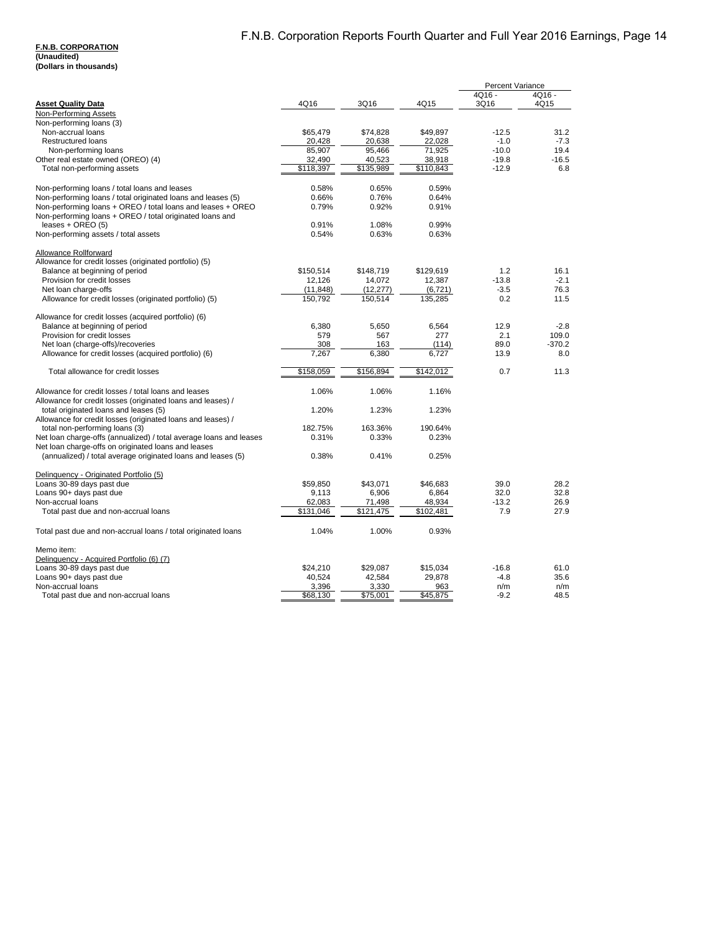#### **F.N.B. CORPORATION (Unaudited)**

**(Dollars in thousands)**

|                                                                                                                             |           |           |           | <b>Percent Variance</b> |              |
|-----------------------------------------------------------------------------------------------------------------------------|-----------|-----------|-----------|-------------------------|--------------|
|                                                                                                                             |           |           |           | $4Q16 -$                | $4Q16 -$     |
| <b>Asset Quality Data</b>                                                                                                   | 4Q16      | 3Q16      | 4Q15      | 3Q16                    | 4Q15         |
| Non-Performing Assets                                                                                                       |           |           |           |                         |              |
| Non-performing loans (3)                                                                                                    |           |           |           |                         |              |
| Non-accrual loans                                                                                                           | \$65,479  | \$74,828  | \$49,897  | $-12.5$                 | 31.2         |
| <b>Restructured loans</b>                                                                                                   | 20,428    | 20,638    | 22,028    | $-1.0$                  | $-7.3$       |
| Non-performing loans                                                                                                        | 85,907    | 95,466    | 71,925    | $-10.0$                 | 19.4         |
| Other real estate owned (OREO) (4)                                                                                          | 32,490    | 40,523    | 38,918    | $-19.8$                 | $-16.5$      |
| Total non-performing assets                                                                                                 | \$118,397 | \$135,989 | \$110,843 | $-12.9$                 | 6.8          |
|                                                                                                                             | 0.58%     | 0.65%     | 0.59%     |                         |              |
| Non-performing loans / total loans and leases                                                                               | 0.66%     | 0.76%     | 0.64%     |                         |              |
| Non-performing loans / total originated loans and leases (5)<br>Non-performing loans + OREO / total loans and leases + OREO | 0.79%     | 0.92%     | 0.91%     |                         |              |
| Non-performing loans + OREO / total originated loans and                                                                    |           |           |           |                         |              |
| leases + OREO $(5)$                                                                                                         | 0.91%     | 1.08%     | 0.99%     |                         |              |
| Non-performing assets / total assets                                                                                        | 0.54%     | 0.63%     | 0.63%     |                         |              |
|                                                                                                                             |           |           |           |                         |              |
| <b>Allowance Rollforward</b>                                                                                                |           |           |           |                         |              |
| Allowance for credit losses (originated portfolio) (5)                                                                      |           |           |           |                         |              |
| Balance at beginning of period                                                                                              | \$150,514 | \$148,719 | \$129,619 | 1.2                     | 16.1         |
| Provision for credit losses                                                                                                 | 12,126    | 14,072    | 12,387    | $-13.8$                 | $-2.1$       |
| Net loan charge-offs                                                                                                        | (11, 848) | (12, 277) | (6, 721)  | $-3.5$                  | 76.3         |
| Allowance for credit losses (originated portfolio) (5)                                                                      | 150,792   | 150,514   | 135,285   | 0.2                     | 11.5         |
|                                                                                                                             |           |           |           |                         |              |
| Allowance for credit losses (acquired portfolio) (6)                                                                        |           |           |           |                         |              |
| Balance at beginning of period                                                                                              | 6,380     | 5,650     | 6,564     | 12.9                    | $-2.8$       |
| Provision for credit losses                                                                                                 | 579       | 567       | 277       | 2.1                     | 109.0        |
| Net loan (charge-offs)/recoveries                                                                                           | 308       | 163       | (114)     | 89.0                    | $-370.2$     |
| Allowance for credit losses (acquired portfolio) (6)                                                                        | 7,267     | 6,380     | 6,727     | 13.9                    | 8.0          |
| Total allowance for credit losses                                                                                           | \$158,059 | \$156,894 | \$142,012 | 0.7                     | 11.3         |
|                                                                                                                             |           |           |           |                         |              |
| Allowance for credit losses / total loans and leases                                                                        | 1.06%     | 1.06%     | 1.16%     |                         |              |
| Allowance for credit losses (originated loans and leases) /                                                                 |           |           |           |                         |              |
| total originated loans and leases (5)                                                                                       | 1.20%     | 1.23%     | 1.23%     |                         |              |
| Allowance for credit losses (originated loans and leases) /                                                                 |           |           |           |                         |              |
| total non-performing loans (3)                                                                                              | 182.75%   | 163.36%   | 190.64%   |                         |              |
| Net loan charge-offs (annualized) / total average loans and leases                                                          | 0.31%     | 0.33%     | 0.23%     |                         |              |
| Net loan charge-offs on originated loans and leases                                                                         |           |           |           |                         |              |
| (annualized) / total average originated loans and leases (5)                                                                | 0.38%     | 0.41%     | 0.25%     |                         |              |
|                                                                                                                             |           |           |           |                         |              |
| Delinquency - Originated Portfolio (5)                                                                                      |           |           |           |                         |              |
| Loans 30-89 days past due                                                                                                   | \$59,850  | \$43,071  | \$46,683  | 39.0                    | 28.2         |
| Loans 90+ days past due<br>Non-accrual loans                                                                                | 9,113     | 6,906     | 6,864     | 32.0<br>$-13.2$         | 32.8<br>26.9 |
|                                                                                                                             | 62,083    | 71,498    | 48.934    | 7.9                     |              |
| Total past due and non-accrual loans                                                                                        | \$131,046 | \$121,475 | \$102,481 |                         | 27.9         |
| Total past due and non-accrual loans / total originated loans                                                               | 1.04%     | 1.00%     | 0.93%     |                         |              |
|                                                                                                                             |           |           |           |                         |              |
| Memo item:                                                                                                                  |           |           |           |                         |              |
| Delinquency - Acquired Portfolio (6) (7)                                                                                    |           |           |           |                         |              |
| Loans 30-89 days past due                                                                                                   | \$24.210  | \$29.087  | \$15,034  | $-16.8$                 | 61.0         |
| Loans 90+ days past due                                                                                                     | 40,524    | 42,584    | 29,878    | $-4.8$                  | 35.6         |
| Non-accrual loans                                                                                                           | 3,396     | 3,330     | 963       | n/m                     | n/m          |
| Total past due and non-accrual loans                                                                                        | \$68,130  | \$75,001  | \$45,875  | $-9.2$                  | 48.5         |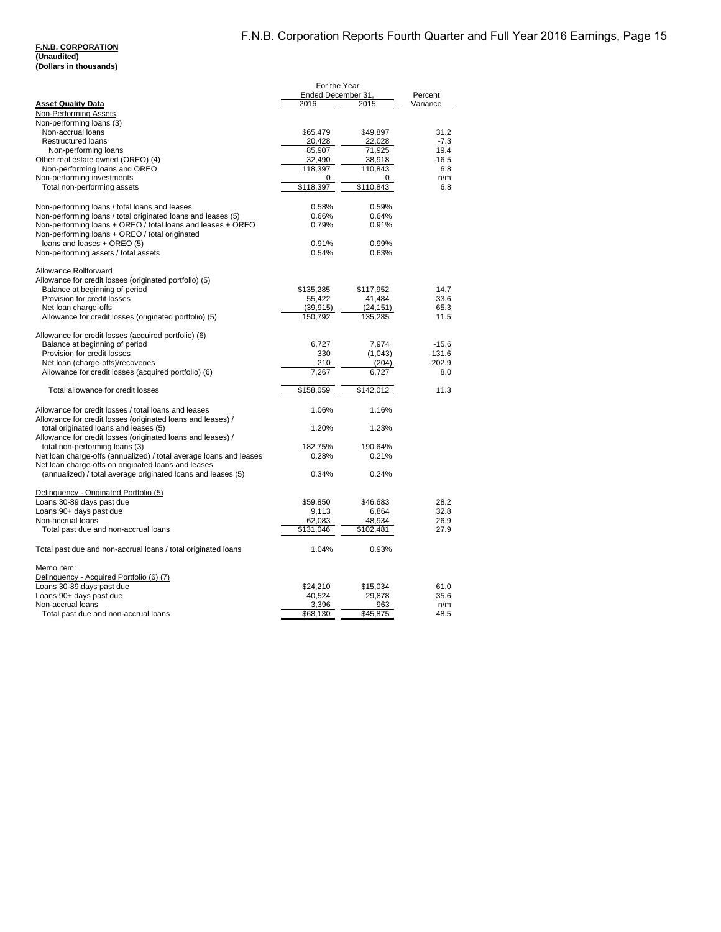#### **F.N.B. CORPORATION (Unaudited) (Dollars in thousands)**

|                                                                    | For the Year        |                     |              |
|--------------------------------------------------------------------|---------------------|---------------------|--------------|
|                                                                    | Ended December 31,  |                     | Percent      |
| <b>Asset Quality Data</b>                                          | 2016                | 2015                | Variance     |
| Non-Performing Assets<br>Non-performing loans (3)                  |                     |                     |              |
| Non-accrual loans                                                  | \$65,479            | \$49,897            | 31.2         |
| <b>Restructured loans</b>                                          | 20,428              | 22,028              | $-7.3$       |
| Non-performing loans                                               | 85,907              | 71,925              | 19.4         |
| Other real estate owned (OREO) (4)                                 | 32,490              | 38,918              | $-16.5$      |
| Non-performing loans and OREO                                      | 118,397             | 110,843             | 6.8          |
| Non-performing investments                                         | 0                   | 0                   | n/m          |
| Total non-performing assets                                        | \$118,397           | \$110,843           | 6.8          |
|                                                                    |                     |                     |              |
| Non-performing loans / total loans and leases                      | 0.58%               | 0.59%               |              |
| Non-performing loans / total originated loans and leases (5)       | 0.66%               | 0.64%               |              |
| Non-performing loans + OREO / total loans and leases + OREO        | 0.79%               | 0.91%               |              |
| Non-performing loans + OREO / total originated                     |                     |                     |              |
| loans and leases + OREO (5)                                        | 0.91%               | 0.99%               |              |
| Non-performing assets / total assets                               | 0.54%               | 0.63%               |              |
|                                                                    |                     |                     |              |
| Allowance Rollforward                                              |                     |                     |              |
| Allowance for credit losses (originated portfolio) (5)             |                     |                     |              |
| Balance at beginning of period                                     | \$135,285           | \$117,952           | 14.7         |
| Provision for credit losses                                        | 55,422              | 41,484              | 33.6         |
| Net loan charge-offs                                               | (39, 915)           | (24, 151)           | 65.3         |
| Allowance for credit losses (originated portfolio) (5)             | 150,792             | 135,285             | 11.5         |
|                                                                    |                     |                     |              |
| Allowance for credit losses (acquired portfolio) (6)               |                     |                     |              |
| Balance at beginning of period                                     | 6,727               | 7,974               | $-15.6$      |
| Provision for credit losses                                        | 330                 | (1,043)             | $-131.6$     |
| Net loan (charge-offs)/recoveries                                  | 210                 | (204)               | $-202.9$     |
| Allowance for credit losses (acquired portfolio) (6)               | 7,267               | 6,727               | 8.0          |
|                                                                    |                     |                     |              |
| Total allowance for credit losses                                  | \$158,059           | \$142,012           | 11.3         |
|                                                                    |                     |                     |              |
| Allowance for credit losses / total loans and leases               | 1.06%               | 1.16%               |              |
| Allowance for credit losses (originated loans and leases) /        |                     |                     |              |
| total originated loans and leases (5)                              | 1.20%               | 1.23%               |              |
| Allowance for credit losses (originated loans and leases) /        |                     |                     |              |
| total non-performing loans (3)                                     | 182.75%             | 190.64%             |              |
| Net loan charge-offs (annualized) / total average loans and leases | 0.28%               | 0.21%               |              |
| Net loan charge-offs on originated loans and leases                |                     |                     |              |
| (annualized) / total average originated loans and leases (5)       | 0.34%               | 0.24%               |              |
|                                                                    |                     |                     |              |
| Delinquency - Originated Portfolio (5)                             |                     |                     |              |
| Loans 30-89 days past due                                          | \$59,850            | \$46,683            | 28.2         |
| Loans 90+ days past due<br>Non-accrual loans                       | 9,113               | 6,864               | 32.8<br>26.9 |
|                                                                    | 62,083<br>\$131,046 | 48,934<br>\$102,481 | 27.9         |
| Total past due and non-accrual loans                               |                     |                     |              |
| Total past due and non-accrual loans / total originated loans      | 1.04%               | 0.93%               |              |
|                                                                    |                     |                     |              |
| Memo item:                                                         |                     |                     |              |
| Delinquency - Acquired Portfolio (6) (7)                           |                     |                     |              |
| Loans 30-89 days past due                                          | \$24,210            | \$15,034            | 61.0         |
| Loans 90+ days past due                                            | 40,524              | 29,878              | 35.6         |
| Non-accrual loans                                                  | 3,396               | 963                 | n/m          |
| Total past due and non-accrual loans                               | \$68,130            | \$45,875            | 48.5         |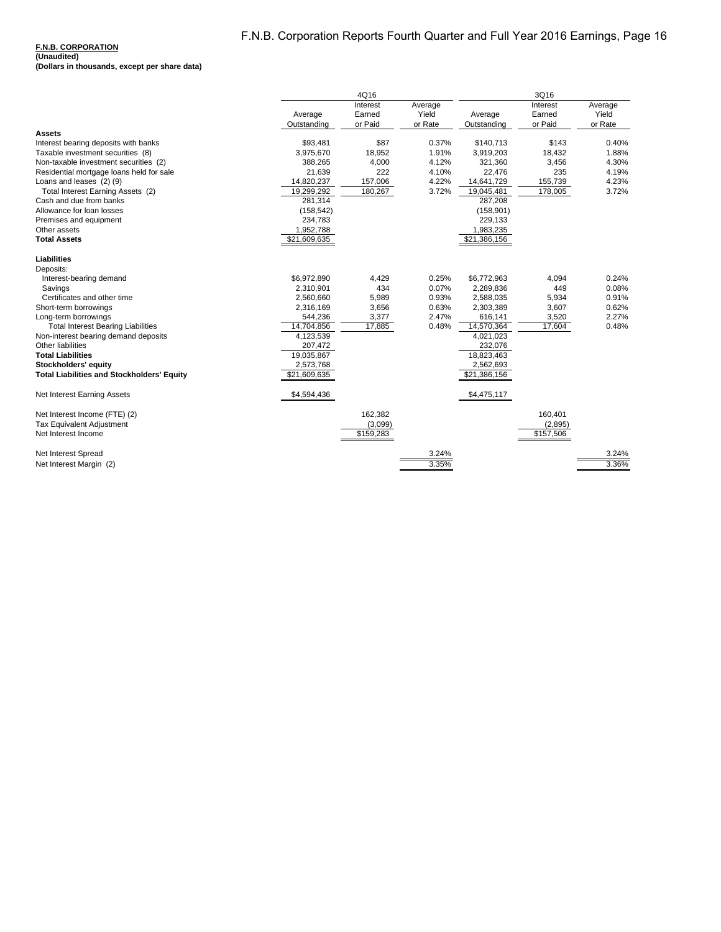|                                                   | 4Q16         |           | 3Q16    |              |           |         |
|---------------------------------------------------|--------------|-----------|---------|--------------|-----------|---------|
|                                                   |              | Interest  | Average |              | Interest  | Average |
|                                                   | Average      | Earned    | Yield   | Average      | Earned    | Yield   |
| <b>Assets</b>                                     | Outstanding  | or Paid   | or Rate | Outstanding  | or Paid   | or Rate |
| Interest bearing deposits with banks              | \$93,481     | \$87      | 0.37%   | \$140,713    | \$143     | 0.40%   |
| Taxable investment securities (8)                 | 3,975,670    | 18,952    | 1.91%   | 3,919,203    | 18,432    | 1.88%   |
| Non-taxable investment securities (2)             | 388,265      | 4,000     | 4.12%   | 321,360      | 3,456     | 4.30%   |
| Residential mortgage loans held for sale          | 21,639       | 222       | 4.10%   | 22,476       | 235       | 4.19%   |
| Loans and leases (2)(9)                           | 14,820,237   | 157,006   | 4.22%   | 14,641,729   | 155,739   | 4.23%   |
| Total Interest Earning Assets (2)                 | 19,299,292   | 180,267   | 3.72%   | 19,045,481   | 178,005   | 3.72%   |
| Cash and due from banks                           | 281,314      |           |         | 287,208      |           |         |
| Allowance for loan losses                         | (158, 542)   |           |         | (158, 901)   |           |         |
| Premises and equipment                            | 234,783      |           |         | 229,133      |           |         |
| Other assets                                      | 1,952,788    |           |         | 1,983,235    |           |         |
| <b>Total Assets</b>                               | \$21,609,635 |           |         | \$21,386,156 |           |         |
| Liabilities                                       |              |           |         |              |           |         |
| Deposits:                                         |              |           |         |              |           |         |
| Interest-bearing demand                           | \$6,972,890  | 4,429     | 0.25%   | \$6,772,963  | 4,094     | 0.24%   |
| Savings                                           | 2,310,901    | 434       | 0.07%   | 2,289,836    | 449       | 0.08%   |
| Certificates and other time                       | 2,560,660    | 5,989     | 0.93%   | 2,588,035    | 5,934     | 0.91%   |
| Short-term borrowings                             | 2,316,169    | 3,656     | 0.63%   | 2,303,389    | 3,607     | 0.62%   |
| Long-term borrowings                              | 544,236      | 3,377     | 2.47%   | 616,141      | 3,520     | 2.27%   |
| <b>Total Interest Bearing Liabilities</b>         | 14,704,856   | 17,885    | 0.48%   | 14,570,364   | 17,604    | 0.48%   |
| Non-interest bearing demand deposits              | 4,123,539    |           |         | 4,021,023    |           |         |
| Other liabilities                                 | 207,472      |           |         | 232,076      |           |         |
| <b>Total Liabilities</b>                          | 19,035,867   |           |         | 18,823,463   |           |         |
| Stockholders' equity                              | 2,573,768    |           |         | 2,562,693    |           |         |
| <b>Total Liabilities and Stockholders' Equity</b> | \$21,609,635 |           |         | \$21,386,156 |           |         |
| Net Interest Earning Assets                       | \$4,594,436  |           |         | \$4,475,117  |           |         |
| Net Interest Income (FTE) (2)                     |              | 162,382   |         |              | 160,401   |         |
| <b>Tax Equivalent Adjustment</b>                  |              | (3,099)   |         |              | (2,895)   |         |
| Net Interest Income                               |              | \$159,283 |         |              | \$157,506 |         |
| Net Interest Spread                               |              |           | 3.24%   |              |           | 3.24%   |
| Net Interest Margin (2)                           |              |           | 3.35%   |              |           | 3.36%   |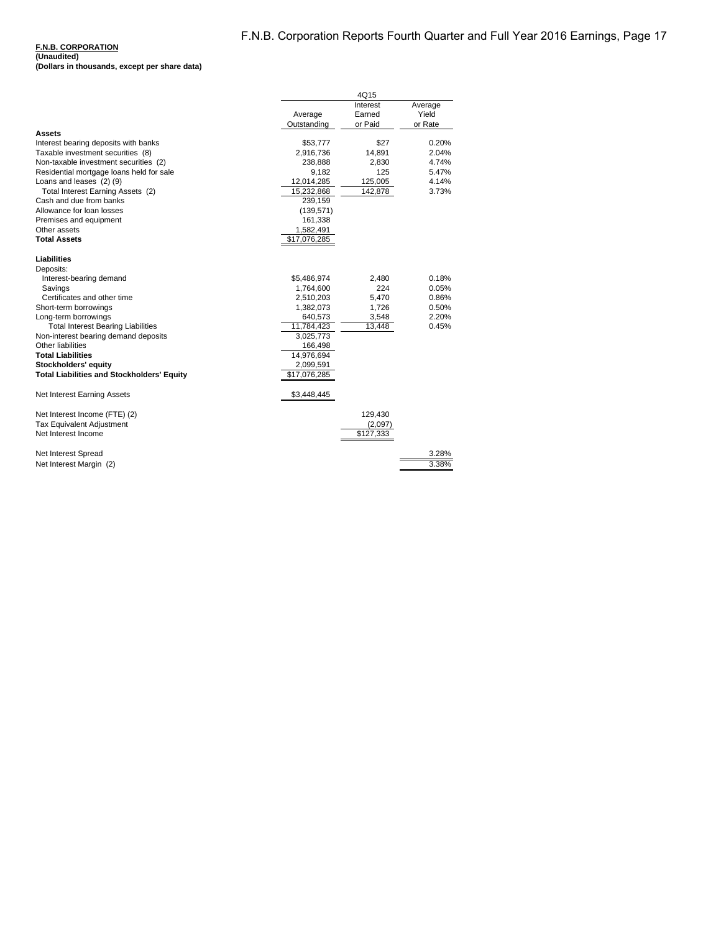|                                                   |                        | 4Q15                          |                             |
|---------------------------------------------------|------------------------|-------------------------------|-----------------------------|
|                                                   | Average<br>Outstanding | Interest<br>Earned<br>or Paid | Average<br>Yield<br>or Rate |
| <b>Assets</b>                                     |                        |                               |                             |
| Interest bearing deposits with banks              | \$53,777               | \$27                          | 0.20%                       |
| Taxable investment securities (8)                 | 2.916.736              | 14.891                        | 2.04%                       |
| Non-taxable investment securities (2)             | 238,888                | 2,830                         | 4.74%                       |
| Residential mortgage loans held for sale          | 9,182                  | 125                           | 5.47%                       |
| Loans and leases (2) (9)                          | 12,014,285             | 125,005                       | 4.14%                       |
| Total Interest Earning Assets (2)                 | 15,232,868             | 142,878                       | 3.73%                       |
| Cash and due from banks                           | 239,159                |                               |                             |
| Allowance for loan losses                         | (139, 571)             |                               |                             |
| Premises and equipment                            | 161,338                |                               |                             |
| Other assets                                      | 1,582,491              |                               |                             |
| <b>Total Assets</b>                               | \$17,076,285           |                               |                             |
| <b>Liabilities</b>                                |                        |                               |                             |
| Deposits:                                         |                        |                               |                             |
| Interest-bearing demand                           | \$5,486,974            | 2,480                         | 0.18%                       |
| Savings                                           | 1,764,600              | 224                           | 0.05%                       |
| Certificates and other time                       | 2,510,203              | 5,470                         | 0.86%                       |
| Short-term borrowings                             | 1,382,073              | 1,726                         | 0.50%                       |
| Long-term borrowings                              | 640,573                | 3,548                         | 2.20%                       |
| <b>Total Interest Bearing Liabilities</b>         | 11,784,423             | 13,448                        | 0.45%                       |
| Non-interest bearing demand deposits              | 3,025,773              |                               |                             |
| Other liabilities                                 | 166,498                |                               |                             |
| <b>Total Liabilities</b>                          | 14,976,694             |                               |                             |
| Stockholders' equity                              | 2,099,591              |                               |                             |
| <b>Total Liabilities and Stockholders' Equity</b> | \$17,076,285           |                               |                             |
| Net Interest Earning Assets                       | \$3,448,445            |                               |                             |
| Net Interest Income (FTE) (2)                     |                        | 129,430                       |                             |
| <b>Tax Equivalent Adjustment</b>                  |                        | (2,097)                       |                             |
| Net Interest Income                               |                        | \$127,333                     |                             |
| Net Interest Spread                               |                        |                               | 3.28%                       |
| Net Interest Margin (2)                           |                        |                               | 3.38%                       |
|                                                   |                        |                               |                             |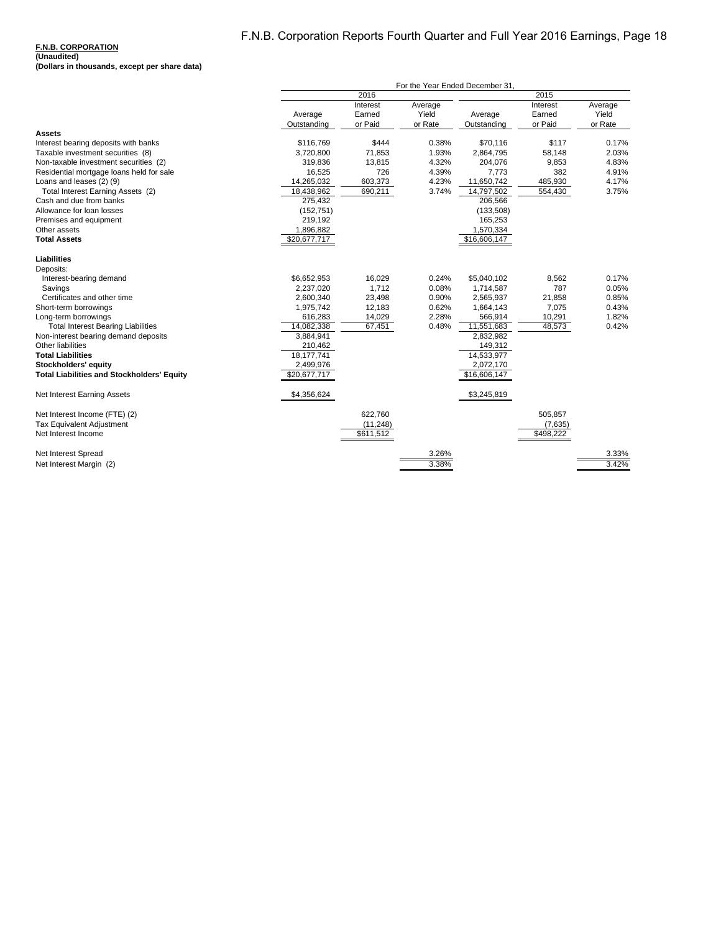| 2016<br>2015<br>Interest<br>Interest<br>Average<br>Average<br>Yield<br>Earned<br>Yield<br>Earned<br>Average<br>Average<br>or Paid<br>or Rate<br>or Paid<br>or Rate<br>Outstanding<br>Outstanding<br>Assets<br>Interest bearing deposits with banks<br>\$116,769<br>\$444<br>0.38%<br>\$70,116<br>\$117<br>Taxable investment securities (8)<br>3,720,800<br>71,853<br>1.93%<br>2,864,795<br>58,148<br>4.32%<br>Non-taxable investment securities (2)<br>319,836<br>13,815<br>204,076<br>9,853 | 0.17%<br>2.03%<br>4.83%<br>4.91%<br>4.17%<br>3.75% |
|-----------------------------------------------------------------------------------------------------------------------------------------------------------------------------------------------------------------------------------------------------------------------------------------------------------------------------------------------------------------------------------------------------------------------------------------------------------------------------------------------|----------------------------------------------------|
|                                                                                                                                                                                                                                                                                                                                                                                                                                                                                               |                                                    |
|                                                                                                                                                                                                                                                                                                                                                                                                                                                                                               |                                                    |
|                                                                                                                                                                                                                                                                                                                                                                                                                                                                                               |                                                    |
|                                                                                                                                                                                                                                                                                                                                                                                                                                                                                               |                                                    |
|                                                                                                                                                                                                                                                                                                                                                                                                                                                                                               |                                                    |
|                                                                                                                                                                                                                                                                                                                                                                                                                                                                                               |                                                    |
|                                                                                                                                                                                                                                                                                                                                                                                                                                                                                               |                                                    |
|                                                                                                                                                                                                                                                                                                                                                                                                                                                                                               |                                                    |
| Residential mortgage loans held for sale<br>16,525<br>726<br>4.39%<br>382<br>7,773                                                                                                                                                                                                                                                                                                                                                                                                            |                                                    |
| Loans and leases (2) (9)<br>603,373<br>4.23%<br>485,930<br>14,265,032<br>11,650,742                                                                                                                                                                                                                                                                                                                                                                                                           |                                                    |
| 18,438,962<br>690,211<br>3.74%<br>Total Interest Earning Assets (2)<br>14,797,502<br>554,430                                                                                                                                                                                                                                                                                                                                                                                                  |                                                    |
| Cash and due from banks<br>275,432<br>206,566                                                                                                                                                                                                                                                                                                                                                                                                                                                 |                                                    |
| Allowance for loan losses<br>(152, 751)<br>(133,508)                                                                                                                                                                                                                                                                                                                                                                                                                                          |                                                    |
| 219,192<br>165,253<br>Premises and equipment                                                                                                                                                                                                                                                                                                                                                                                                                                                  |                                                    |
| Other assets<br>1,570,334<br>1,896,882                                                                                                                                                                                                                                                                                                                                                                                                                                                        |                                                    |
| <b>Total Assets</b><br>\$16,606,147<br>\$20,677,717                                                                                                                                                                                                                                                                                                                                                                                                                                           |                                                    |
| <b>Liabilities</b>                                                                                                                                                                                                                                                                                                                                                                                                                                                                            |                                                    |
| Deposits:                                                                                                                                                                                                                                                                                                                                                                                                                                                                                     |                                                    |
| \$6,652,953<br>16,029<br>0.24%<br>\$5,040,102<br>8,562<br>Interest-bearing demand                                                                                                                                                                                                                                                                                                                                                                                                             | 0.17%                                              |
| 787<br>2,237,020<br>1,712<br>0.08%<br>1,714,587<br>Savings                                                                                                                                                                                                                                                                                                                                                                                                                                    | 0.05%                                              |
| Certificates and other time<br>2,600,340<br>23,498<br>0.90%<br>2,565,937<br>21,858                                                                                                                                                                                                                                                                                                                                                                                                            | 0.85%                                              |
| 0.62%<br>7,075<br>Short-term borrowings<br>1,975,742<br>12,183<br>1,664,143                                                                                                                                                                                                                                                                                                                                                                                                                   | 0.43%                                              |
| 2.28%<br>10,291<br>Long-term borrowings<br>616,283<br>14,029<br>566,914                                                                                                                                                                                                                                                                                                                                                                                                                       | 1.82%                                              |
| 67,451<br>0.48%<br>48,573<br><b>Total Interest Bearing Liabilities</b><br>14,082,338<br>11,551,683                                                                                                                                                                                                                                                                                                                                                                                            | 0.42%                                              |
| 3,884,941<br>Non-interest bearing demand deposits<br>2,832,982                                                                                                                                                                                                                                                                                                                                                                                                                                |                                                    |
| Other liabilities<br>149,312<br>210,462                                                                                                                                                                                                                                                                                                                                                                                                                                                       |                                                    |
| 18,177,741<br>14,533,977<br><b>Total Liabilities</b>                                                                                                                                                                                                                                                                                                                                                                                                                                          |                                                    |
| 2,072,170<br>2,499,976<br>Stockholders' equity                                                                                                                                                                                                                                                                                                                                                                                                                                                |                                                    |
| <b>Total Liabilities and Stockholders' Equity</b><br>\$20,677,717<br>\$16,606,147                                                                                                                                                                                                                                                                                                                                                                                                             |                                                    |
| \$4,356,624<br>\$3,245,819<br>Net Interest Earning Assets                                                                                                                                                                                                                                                                                                                                                                                                                                     |                                                    |
| Net Interest Income (FTE) (2)<br>622,760<br>505,857                                                                                                                                                                                                                                                                                                                                                                                                                                           |                                                    |
| <b>Tax Equivalent Adjustment</b><br>(11, 248)<br>(7,635)                                                                                                                                                                                                                                                                                                                                                                                                                                      |                                                    |
| \$611,512<br>\$498,222<br>Net Interest Income                                                                                                                                                                                                                                                                                                                                                                                                                                                 |                                                    |
| Net Interest Spread<br>3.26%                                                                                                                                                                                                                                                                                                                                                                                                                                                                  | 3.33%                                              |
| 3.38%<br>3.42%<br>Net Interest Margin (2)                                                                                                                                                                                                                                                                                                                                                                                                                                                     |                                                    |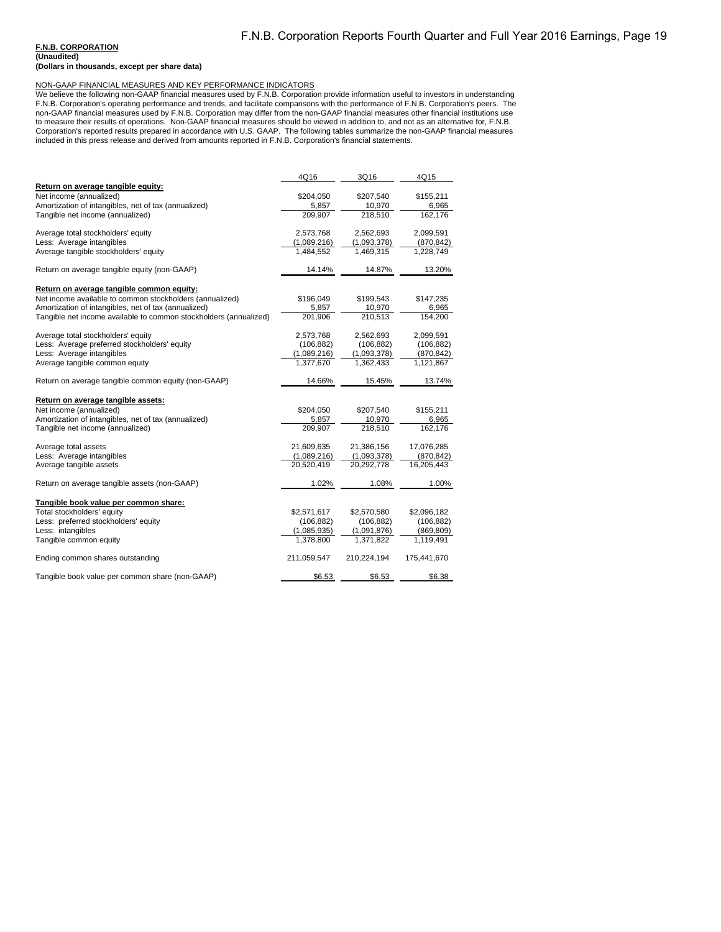**(Unaudited)**

**(Dollars in thousands, except per share data)**

NON-GAAP FINANCIAL MEASURES AND KEY PERFORMANCE INDICATORS<br>We believe the following non-GAAP financial measures used by F.N.B. Corporation provide information useful to investors in understanding<br>F.N.B. Corporation's opera Corporation's reported results prepared in accordance with U.S. GAAP. The following tables summarize the non-GAAP financial measures<br>included in this press release and derived from amounts reported in F.N.B. Corporation's

|                                                                   | 4Q16        | 3Q16        | 4Q15        |
|-------------------------------------------------------------------|-------------|-------------|-------------|
| Return on average tangible equity:                                |             |             |             |
| Net income (annualized)                                           | \$204,050   | \$207,540   | \$155,211   |
| Amortization of intangibles, net of tax (annualized)              | 5,857       | 10,970      | 6,965       |
| Tangible net income (annualized)                                  | 209,907     | 218,510     | 162,176     |
| Average total stockholders' equity                                | 2,573,768   | 2,562,693   | 2,099,591   |
| Less: Average intangibles                                         | (1,089,216) | (1,093,378) | (870, 842)  |
| Average tangible stockholders' equity                             | 1,484,552   | 1,469,315   | 1,228,749   |
| Return on average tangible equity (non-GAAP)                      | 14.14%      | 14.87%      | 13.20%      |
| Return on average tangible common equity:                         |             |             |             |
| Net income available to common stockholders (annualized)          | \$196,049   | \$199,543   | \$147,235   |
| Amortization of intangibles, net of tax (annualized)              | 5,857       | 10,970      | 6,965       |
| Tangible net income available to common stockholders (annualized) | 201,906     | 210,513     | 154,200     |
| Average total stockholders' equity                                | 2,573,768   | 2,562,693   | 2,099,591   |
| Less: Average preferred stockholders' equity                      | (106, 882)  | (106, 882)  | (106, 882)  |
| Less: Average intangibles                                         | (1,089,216) | (1,093,378) | (870, 842)  |
| Average tangible common equity                                    | 1,377,670   | 1,362,433   | 1,121,867   |
| Return on average tangible common equity (non-GAAP)               | 14.66%      | 15.45%      | 13.74%      |
| Return on average tangible assets:                                |             |             |             |
| Net income (annualized)                                           | \$204,050   | \$207,540   | \$155,211   |
| Amortization of intangibles, net of tax (annualized)              | 5,857       | 10,970      | 6,965       |
| Tangible net income (annualized)                                  | 209.907     | 218,510     | 162,176     |
| Average total assets                                              | 21,609,635  | 21,386,156  | 17,076,285  |
| Less: Average intangibles                                         | (1,089,216) | (1,093,378) | (870, 842)  |
| Average tangible assets                                           | 20,520,419  | 20,292,778  | 16,205,443  |
| Return on average tangible assets (non-GAAP)                      | 1.02%       | 1.08%       | 1.00%       |
| Tangible book value per common share:                             |             |             |             |
| Total stockholders' equity                                        | \$2,571,617 | \$2,570,580 | \$2,096,182 |
| Less: preferred stockholders' equity                              | (106, 882)  | (106, 882)  | (106, 882)  |
| Less: intangibles                                                 | (1,085,935) | (1,091,876) | (869, 809)  |
| Tangible common equity                                            | 1,378,800   | 1,371,822   | 1,119,491   |
| Ending common shares outstanding                                  | 211,059,547 | 210,224,194 | 175,441,670 |
| Tangible book value per common share (non-GAAP)                   | \$6.53      | \$6.53      | \$6.38      |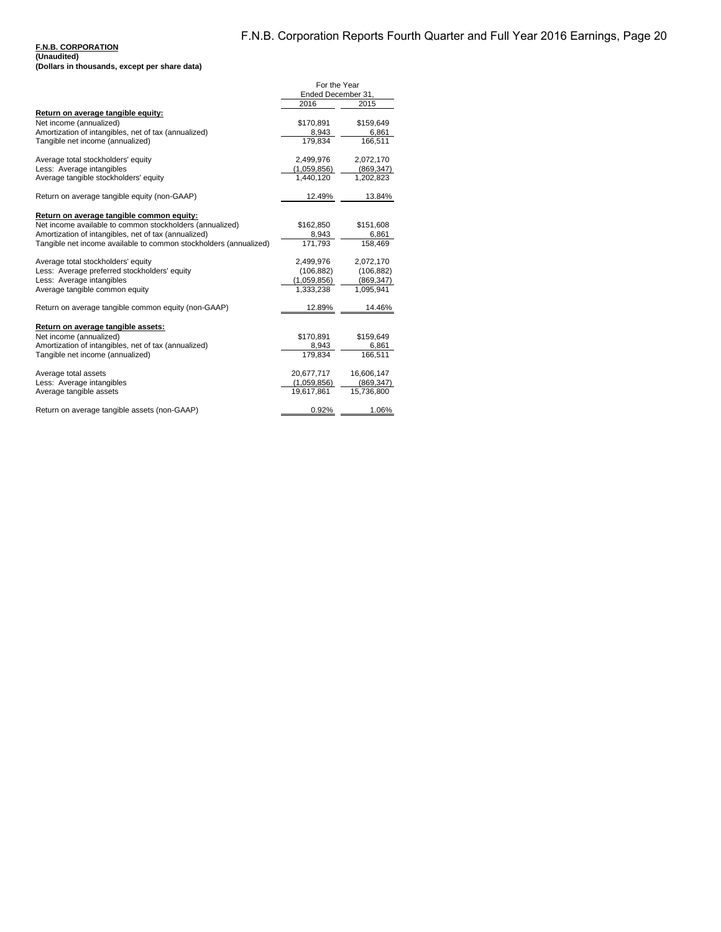|                                                                   | For the Year       |            |
|-------------------------------------------------------------------|--------------------|------------|
|                                                                   | Ended December 31. |            |
|                                                                   | 2016               | 2015       |
| Return on average tangible equity:                                |                    |            |
| Net income (annualized)                                           | \$170,891          | \$159,649  |
| Amortization of intangibles, net of tax (annualized)              | 8,943              | 6,861      |
| Tangible net income (annualized)                                  | 179.834            | 166.511    |
| Average total stockholders' equity                                | 2,499,976          | 2,072,170  |
| Less: Average intangibles                                         | (1,059,856)        | (869, 347) |
| Average tangible stockholders' equity                             | 1,440,120          | 1,202,823  |
| Return on average tangible equity (non-GAAP)                      | 12.49%             | 13.84%     |
| Return on average tangible common equity:                         |                    |            |
| Net income available to common stockholders (annualized)          | \$162,850          | \$151,608  |
| Amortization of intangibles, net of tax (annualized)              | 8,943              | 6,861      |
| Tangible net income available to common stockholders (annualized) | 171,793            | 158,469    |
| Average total stockholders' equity                                | 2,499,976          | 2,072,170  |
| Less: Average preferred stockholders' equity                      | (106, 882)         | (106, 882) |
| Less: Average intangibles                                         | (1,059,856)        | (869, 347) |
| Average tangible common equity                                    | 1,333,238          | 1,095,941  |
| Return on average tangible common equity (non-GAAP)               | 12.89%             | 14.46%     |
| Return on average tangible assets:                                |                    |            |
| Net income (annualized)                                           | \$170,891          | \$159,649  |
| Amortization of intangibles, net of tax (annualized)              | 8.943              | 6,861      |
| Tangible net income (annualized)                                  | 179,834            | 166,511    |
| Average total assets                                              | 20,677,717         | 16,606,147 |
| Less: Average intangibles                                         | (1,059,856)        | (869, 347) |
| Average tangible assets                                           | 19,617,861         | 15,736,800 |
| Return on average tangible assets (non-GAAP)                      | 0.92%              | 1.06%      |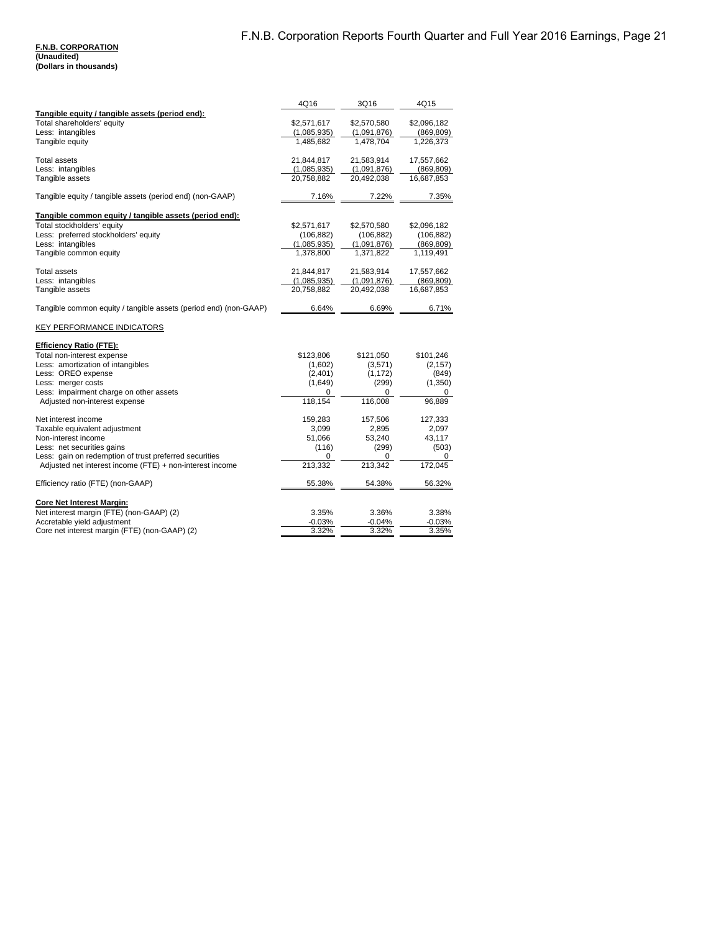#### **F.N.B. CORPORATION (Unaudited) (Dollars in thousands)**

|                                                                  | 4Q16        | 3Q16        | 4Q15        |
|------------------------------------------------------------------|-------------|-------------|-------------|
| Tangible equity / tangible assets (period end):                  |             |             |             |
| Total shareholders' equity                                       | \$2,571,617 | \$2,570,580 | \$2,096,182 |
| Less: intangibles                                                | (1,085,935) | (1,091,876) | (869, 809)  |
| Tangible equity                                                  | 1,485,682   | 1,478,704   | 1,226,373   |
| <b>Total assets</b>                                              | 21,844,817  | 21,583,914  | 17,557,662  |
| Less: intangibles                                                | (1,085,935) | (1,091,876) | (869, 809)  |
| Tangible assets                                                  | 20,758,882  | 20,492,038  | 16,687,853  |
| Tangible equity / tangible assets (period end) (non-GAAP)        | 7.16%       | 7.22%       | 7.35%       |
| Tangible common equity / tangible assets (period end):           |             |             |             |
| Total stockholders' equity                                       | \$2,571,617 | \$2,570,580 | \$2,096,182 |
| Less: preferred stockholders' equity                             | (106, 882)  | (106, 882)  | (106, 882)  |
| Less: intangibles                                                | (1,085,935) | (1,091,876) | (869, 809)  |
| Tangible common equity                                           | 1,378,800   | 1,371,822   | 1,119,491   |
| <b>Total assets</b>                                              | 21,844,817  | 21,583,914  | 17,557,662  |
| Less: intangibles                                                | (1,085,935) | (1,091,876) | (869, 809)  |
| Tangible assets                                                  | 20,758,882  | 20,492,038  | 16,687,853  |
| Tangible common equity / tangible assets (period end) (non-GAAP) | 6.64%       | 6.69%       | 6.71%       |
| <b>KEY PERFORMANCE INDICATORS</b>                                |             |             |             |
| <b>Efficiency Ratio (FTE):</b>                                   |             |             |             |
| Total non-interest expense                                       | \$123,806   | \$121,050   | \$101,246   |
| Less: amortization of intangibles                                | (1,602)     | (3,571)     | (2, 157)    |
| Less: OREO expense                                               | (2,401)     | (1, 172)    | (849)       |
| Less: merger costs                                               | (1,649)     | (299)       | (1,350)     |
| Less: impairment charge on other assets                          | 0           | $\Omega$    | 0           |
| Adjusted non-interest expense                                    | 118.154     | 116,008     | 96,889      |
| Net interest income                                              | 159,283     | 157,506     | 127,333     |
| Taxable equivalent adjustment                                    | 3,099       | 2,895       | 2,097       |
| Non-interest income                                              | 51,066      | 53,240      | 43,117      |
| Less: net securities gains                                       | (116)       | (299)       | (503)       |
| Less: gain on redemption of trust preferred securities           | 0           | 0           | 0           |
| Adjusted net interest income (FTE) + non-interest income         | 213,332     | 213,342     | 172,045     |
| Efficiency ratio (FTE) (non-GAAP)                                | 55.38%      | 54.38%      | 56.32%      |
| <b>Core Net Interest Margin:</b>                                 |             |             |             |
| Net interest margin (FTE) (non-GAAP) (2)                         | 3.35%       | 3.36%       | 3.38%       |
| Accretable yield adjustment                                      | $-0.03%$    | $-0.04%$    | $-0.03%$    |
| Core net interest margin (FTE) (non-GAAP) (2)                    | 3.32%       | 3.32%       | 3.35%       |